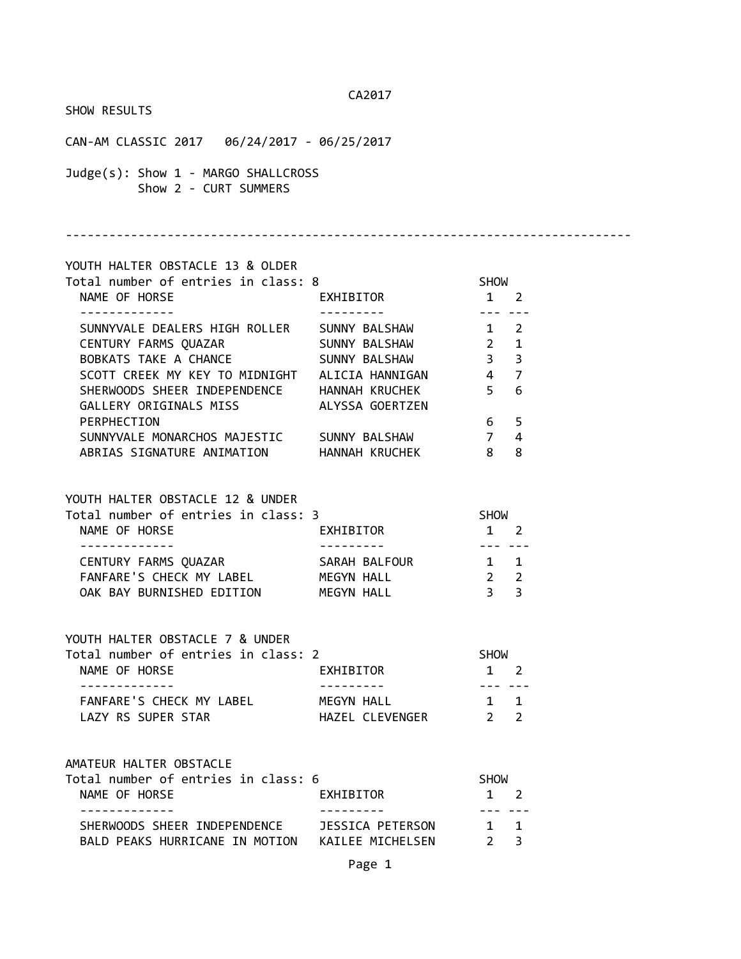CA2017 SHOW RESULTS CAN-AM CLASSIC 2017 06/24/2017 - 06/25/2017 Judge(s): Show 1 - MARGO SHALLCROSS Show 2 - CURT SUMMERS ------------------------------------------------------------------------------ YOUTH HALTER OBSTACLE 13 & OLDER Total number of entries in class: 8 SHOW NAME OF HORSE THE RESERVE EXHIBITOR THAT A 2 ------------- --------- --- --- SUNNYVALE DEALERS HIGH ROLLER SUNNY BALSHAW 1 2 CENTURY FARMS QUAZAR SUNNY BALSHAW 2 1 BOBKATS TAKE A CHANCE SUNNY BALSHAW 3 3 SCOTT CREEK MY KEY TO MIDNIGHT ALICIA HANNIGAN 4 7 SHERWOODS SHEER INDEPENDENCE HANNAH KRUCHEK 5 6 GALLERY ORIGINALS MISS ALYSSA GOERTZEN PERPHECTION 6 5 SUNNYVALE MONARCHOS MAJESTIC SUNNY BALSHAW 7 4 ABRIAS SIGNATURE ANIMATION HANNAH KRUCHEK 8 8 YOUTH HALTER OBSTACLE 12 & UNDER Total number of entries in class: 3 SHOW NAME OF HORSE **EXHIBITOR** 1 2 ------------- --------- --- --- CENTURY FARMS QUAZAR SARAH BALFOUR 1 1 FANFARE'S CHECK MY LABEL MEGYN HALL 2 2 OAK BAY BURNISHED EDITION MEGYN HALL 3 3 YOUTH HALTER OBSTACLE 7 & UNDER Total number of entries in class: 2 SHOW NAME OF HORSE **EXHIBITOR** 1 2 ------------- --------- --- --- FANFARE'S CHECK MY LABEL MEGYN HALL 1 1 LAZY RS SUPER STAR THAZEL CLEVENGER 2 2 AMATEUR HALTER OBSTACLE Total number of entries in class: 6 SHOW NAME OF HORSE **EXHIBITOR** 1 2 ------------- --------- --- --- SHERWOODS SHEER INDEPENDENCE JESSICA PETERSON 1 1 BALD PEAKS HURRICANE IN MOTION KAILEE MICHELSEN 2 3 Page 1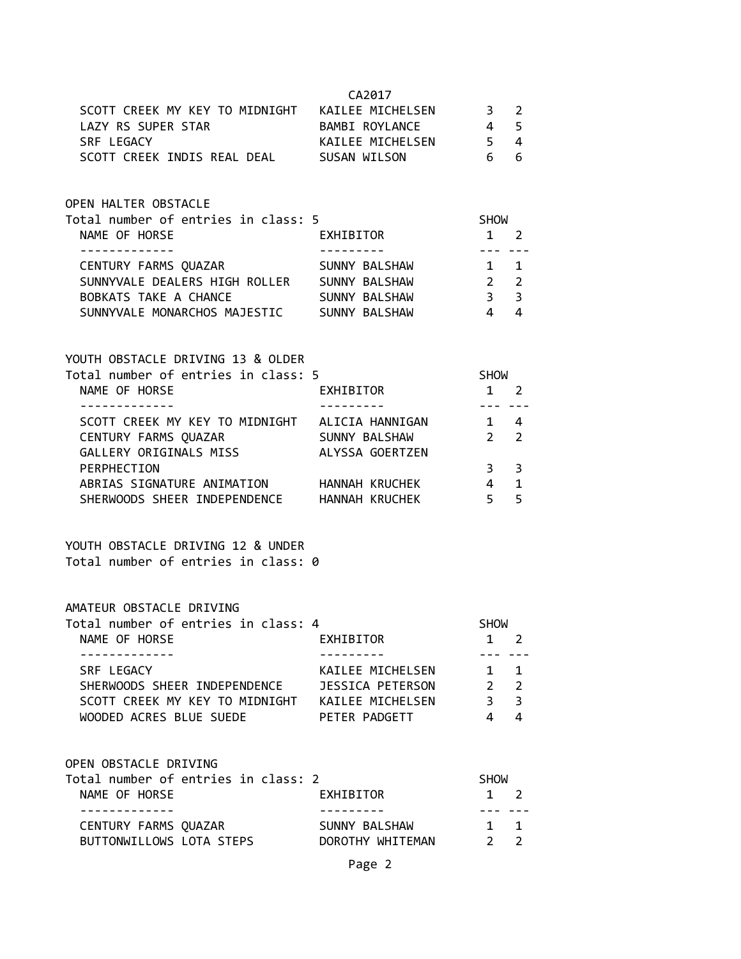|                                                                                                                      | CA2017               |                        |                         |
|----------------------------------------------------------------------------------------------------------------------|----------------------|------------------------|-------------------------|
| SCOTT CREEK MY KEY TO MIDNIGHT KAILEE MICHELSEN 3 2                                                                  |                      |                        |                         |
| LAZY RS SUPER STAR BAMBI ROYLANCE                                                                                    |                      | 4 <sub>5</sub>         |                         |
| SRF LEGACY                                                                                                           | KAILEE MICHELSEN 5 4 |                        |                         |
| SCOTT CREEK INDIS REAL DEAL SUSAN WILSON 6 6                                                                         |                      |                        |                         |
|                                                                                                                      |                      |                        |                         |
| OPEN HALTER OBSTACLE                                                                                                 |                      |                        |                         |
|                                                                                                                      |                      | <b>SHOW</b>            |                         |
| -------------                                                                                                        |                      | $1 \quad 2$<br>------- |                         |
| CENTURY FARMS QUAZAR SUNNY BALSHAW 1 1                                                                               |                      |                        |                         |
| SUNNYVALE DEALERS HIGH ROLLER SUNNY BALSHAW 2 2                                                                      |                      |                        |                         |
|                                                                                                                      |                      |                        |                         |
| BOBKATS TAKE A CHANCE SUNNY BALSHAW 3 3                                                                              |                      |                        |                         |
| SUNNYVALE MONARCHOS MAJESTIC SUNNY BALSHAW                                                                           |                      | $4 \quad 4$            |                         |
| YOUTH OBSTACLE DRIVING 13 & OLDER                                                                                    |                      |                        |                         |
| Total number of entries in class: 5                                                                                  |                      | <b>SHOW</b>            |                         |
| NAME OF HORSE                                                                                                        | EXHIBITOR 1 2        |                        |                         |
|                                                                                                                      |                      | -------                |                         |
| SCOTT CREEK MY KEY TO MIDNIGHT ALICIA HANNIGAN 1 4                                                                   |                      |                        |                         |
|                                                                                                                      |                      |                        |                         |
| CENTURY FARMS QUAZAR                       SUNNY BALSHAW<br>GALLERY ORIGINALS MISS                   ALYSSA GOERTZEN |                      | $2\qquad 2$            |                         |
|                                                                                                                      |                      |                        |                         |
| PERPHECTION                                                                                                          |                      | 3 <sup>7</sup>         | $\overline{\mathbf{3}}$ |
| ABRIAS SIGNATURE ANIMATION HANNAH KRUCHEK 4 1                                                                        |                      |                        |                         |
| SHERWOODS SHEER INDEPENDENCE HANNAH KRUCHEK 5                                                                        |                      |                        | 5                       |
| YOUTH OBSTACLE DRIVING 12 & UNDER<br>Total number of entries in class: 0                                             |                      |                        |                         |
| AMATEUR OBSTACLE DRIVING                                                                                             |                      |                        |                         |
| Total number of entries in class: 4                                                                                  |                      | <b>SHOW</b>            |                         |
| NAME OF HORSE                                                                                                        | EXHIBITOR            | $\mathbf{1}$           | 2                       |
| ------------                                                                                                         |                      |                        |                         |
| SRF LEGACY                                                                                                           | KAILEE MICHELSEN     | $1 \quad 1$            |                         |
|                                                                                                                      |                      |                        |                         |
| SHERWOODS SHEER INDEPENDENCE JESSICA PETERSON                                                                        |                      | $2\quad 2$             |                         |
| SCOTT CREEK MY KEY TO MIDNIGHT KAILEE MICHELSEN                                                                      |                      | 3 <sup>7</sup>         | $\overline{\mathbf{3}}$ |
| WOODED ACRES BLUE SUEDE                                                                                              | PETER PADGETT        | $\overline{4}$         | $\overline{a}$          |
| OPEN OBSTACLE DRIVING                                                                                                |                      |                        |                         |
| Total number of entries in class: 2                                                                                  |                      | <b>SHOW</b>            |                         |
| NAME OF HORSE                                                                                                        | EXHIBITOR            | $1 \quad 2$            |                         |
| . <u>_ _ _ _ _ _ _ _ _ _ _</u> _                                                                                     | .                    | --- ---                |                         |
| CENTURY FARMS QUAZAR                                                                                                 | SUNNY BALSHAW        | $1 \quad 1$            |                         |
| BUTTONWILLOWS LOTA STEPS DOROTHY WHITEMAN 2 2                                                                        |                      |                        |                         |
|                                                                                                                      |                      |                        |                         |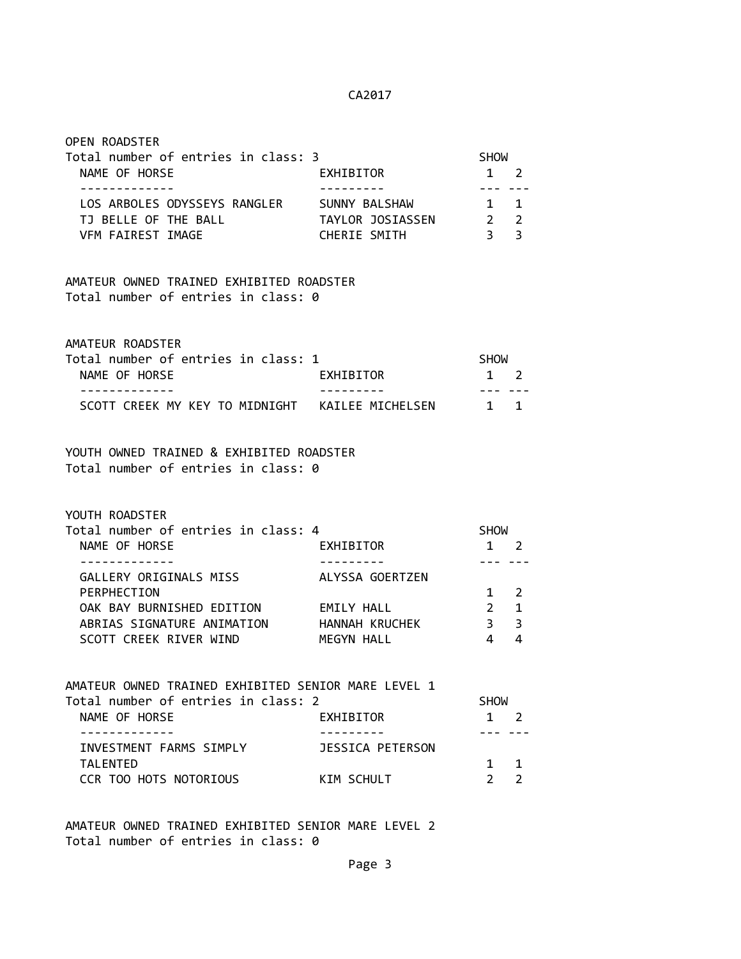| Total number of entries in class: 3                                             |                         | <b>SHOW</b>                                                                                                                                                                                                                                                                                                                                                                                                                                                                               |                |
|---------------------------------------------------------------------------------|-------------------------|-------------------------------------------------------------------------------------------------------------------------------------------------------------------------------------------------------------------------------------------------------------------------------------------------------------------------------------------------------------------------------------------------------------------------------------------------------------------------------------------|----------------|
| NAME OF HORSE<br>-------------                                                  | EXHIBITOR<br>---------- | $1 \quad 2$<br>$\frac{1}{2} \left( \frac{1}{2} \right) \left( \frac{1}{2} \right) \left( \frac{1}{2} \right) \left( \frac{1}{2} \right) \left( \frac{1}{2} \right) \left( \frac{1}{2} \right) \left( \frac{1}{2} \right) \left( \frac{1}{2} \right) \left( \frac{1}{2} \right) \left( \frac{1}{2} \right) \left( \frac{1}{2} \right) \left( \frac{1}{2} \right) \left( \frac{1}{2} \right) \left( \frac{1}{2} \right) \left( \frac{1}{2} \right) \left( \frac{1}{2} \right) \left( \frac$ |                |
| LOS ARBOLES ODYSSEYS RANGLER SUNNY BALSHAW                                      |                         | $1\quad1$                                                                                                                                                                                                                                                                                                                                                                                                                                                                                 |                |
| TJ BELLE OF THE BALL                                                            | TAYLOR JOSIASSEN        | $\begin{array}{ccc}\n2 & 2 \\ 3 & 3\n\end{array}$                                                                                                                                                                                                                                                                                                                                                                                                                                         |                |
| VFM FAIREST IMAGE                                                               | CHERIE SMITH            |                                                                                                                                                                                                                                                                                                                                                                                                                                                                                           |                |
| AMATEUR OWNED TRAINED EXHIBITED ROADSTER                                        |                         |                                                                                                                                                                                                                                                                                                                                                                                                                                                                                           |                |
| Total number of entries in class: 0                                             |                         |                                                                                                                                                                                                                                                                                                                                                                                                                                                                                           |                |
| AMATEUR ROADSTER                                                                |                         |                                                                                                                                                                                                                                                                                                                                                                                                                                                                                           |                |
| Total number of entries in class: 1<br>NAME OF HORSE                            | EXHIBITOR               | SHOW<br>1 2                                                                                                                                                                                                                                                                                                                                                                                                                                                                               |                |
| SCOTT CREEK MY KEY TO MIDNIGHT KAILEE MICHELSEN 1 1                             |                         | $- - -$                                                                                                                                                                                                                                                                                                                                                                                                                                                                                   |                |
|                                                                                 |                         |                                                                                                                                                                                                                                                                                                                                                                                                                                                                                           |                |
| YOUTH OWNED TRAINED & EXHIBITED ROADSTER<br>Total number of entries in class: 0 |                         |                                                                                                                                                                                                                                                                                                                                                                                                                                                                                           |                |
|                                                                                 |                         |                                                                                                                                                                                                                                                                                                                                                                                                                                                                                           |                |
| YOUTH ROADSTER                                                                  |                         |                                                                                                                                                                                                                                                                                                                                                                                                                                                                                           |                |
| Total number of entries in class: 4<br>NAME OF HORSE                            | EXHIBITOR               | SHOW<br>1 2                                                                                                                                                                                                                                                                                                                                                                                                                                                                               |                |
| - - - - - - - - - - - - -                                                       |                         | --- ---                                                                                                                                                                                                                                                                                                                                                                                                                                                                                   |                |
| GALLERY ORIGINALS MISS<br>PERPHECTION                                           | ALYSSA GOERTZEN         | 1                                                                                                                                                                                                                                                                                                                                                                                                                                                                                         | 2              |
| OAK BAY BURNISHED EDITION EMILY HALL                                            |                         | $\overline{\mathbf{2}}$                                                                                                                                                                                                                                                                                                                                                                                                                                                                   | $\mathbf 1$    |
| ABRIAS SIGNATURE ANIMATION HANNAH KRUCHEK                                       |                         | $\overline{\phantom{a}}$ 3                                                                                                                                                                                                                                                                                                                                                                                                                                                                | 3              |
| SCOTT CREEK RIVER WIND                                                          | MEGYN HALL              | $\overline{4}$                                                                                                                                                                                                                                                                                                                                                                                                                                                                            | 4              |
| AMATEUR OWNED TRAINED EXHIBITED SENIOR MARE LEVEL 1                             |                         |                                                                                                                                                                                                                                                                                                                                                                                                                                                                                           |                |
| Total number of entries in class: 2                                             |                         | <b>SHOW</b>                                                                                                                                                                                                                                                                                                                                                                                                                                                                               |                |
| NAME OF HORSE                                                                   | EXHIBITOR               | 1                                                                                                                                                                                                                                                                                                                                                                                                                                                                                         | 2              |
| INVESTMENT FARMS SIMPLY                                                         | JESSICA PETERSON        |                                                                                                                                                                                                                                                                                                                                                                                                                                                                                           |                |
| <b>TALENTED</b>                                                                 |                         | 1                                                                                                                                                                                                                                                                                                                                                                                                                                                                                         | 1              |
| CCR TOO HOTS NOTORIOUS                                                          | KIM SCHULT              | $\overline{2}$                                                                                                                                                                                                                                                                                                                                                                                                                                                                            | $\overline{2}$ |
|                                                                                 |                         |                                                                                                                                                                                                                                                                                                                                                                                                                                                                                           |                |

OPEN ROADSTER

AMATEUR OWNED TRAINED EXHIBITED SENIOR MARE LEVEL 2 Total number of entries in class: 0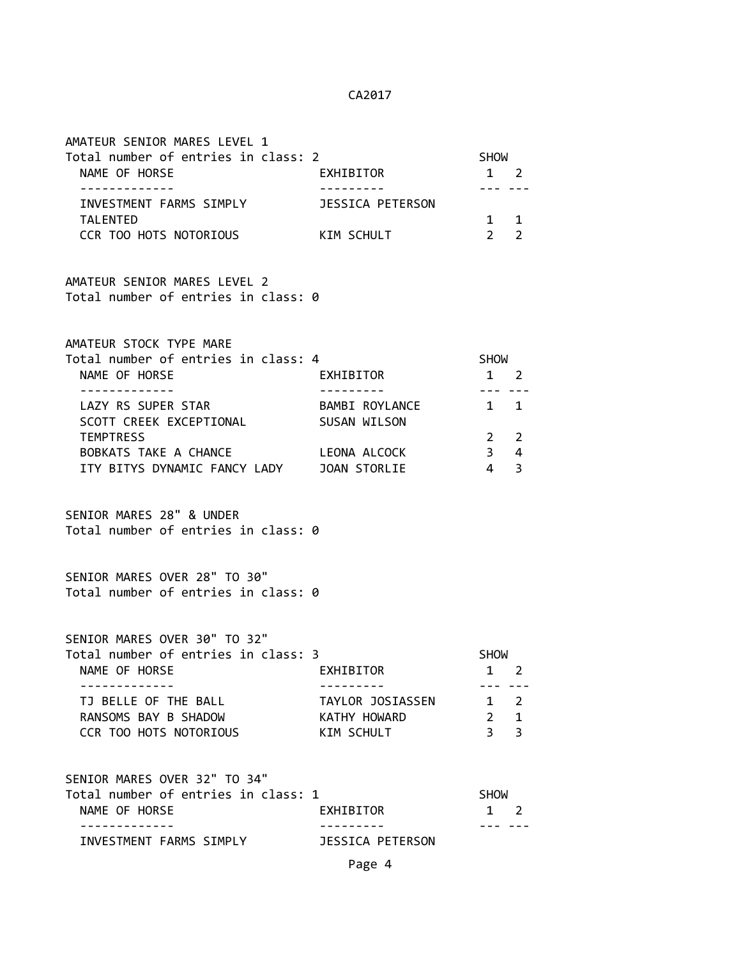| AMATEUR SENIOR MARES LEVEL 1<br>Total number of entries in class: 2<br>NAME OF HORSE<br>-------------<br>INVESTMENT FARMS SIMPLY<br>TALENTED<br>CCR TOO HOTS NOTORIOUS KIM SCHULT                                                                        | EXHIBITOR<br>JESSICA PETERSON                             | SHOW<br>$1 \quad 2$<br>$\frac{1}{2} \frac{1}{2} \frac{1}{2} \frac{1}{2} \frac{1}{2} \frac{1}{2} \frac{1}{2} \frac{1}{2} \frac{1}{2} \frac{1}{2} \frac{1}{2} \frac{1}{2} \frac{1}{2} \frac{1}{2} \frac{1}{2} \frac{1}{2} \frac{1}{2} \frac{1}{2} \frac{1}{2} \frac{1}{2} \frac{1}{2} \frac{1}{2} \frac{1}{2} \frac{1}{2} \frac{1}{2} \frac{1}{2} \frac{1}{2} \frac{1}{2} \frac{1}{2} \frac{1}{2} \frac{1}{2} \frac{$<br>$1 \qquad 1$<br>$2 \quad 2$ |
|----------------------------------------------------------------------------------------------------------------------------------------------------------------------------------------------------------------------------------------------------------|-----------------------------------------------------------|----------------------------------------------------------------------------------------------------------------------------------------------------------------------------------------------------------------------------------------------------------------------------------------------------------------------------------------------------------------------------------------------------------------------------------------------------|
| AMATEUR SENIOR MARES LEVEL 2<br>Total number of entries in class: 0                                                                                                                                                                                      |                                                           |                                                                                                                                                                                                                                                                                                                                                                                                                                                    |
| AMATEUR STOCK TYPE MARE<br>Total number of entries in class: 4<br>NAME OF HORSE<br>-------------<br>LAZY RS SUPER STAR<br>SCOTT CREEK EXCEPTIONAL<br><b>TEMPTRESS</b><br>BOBKATS TAKE A CHANCE LEONA ALCOCK<br>ITY BITYS DYNAMIC FANCY LADY JOAN STORLIE | EXHIBITOR<br>----------<br>BAMBI ROYLANCE<br>SUSAN WILSON | SHOW<br>$1 \quad 2$<br>$1 \quad 1$<br>$2 \quad 2$<br>$3 \quad 4$<br>$4 \overline{3}$                                                                                                                                                                                                                                                                                                                                                               |
| SENIOR MARES 28" & UNDER<br>Total number of entries in class: 0                                                                                                                                                                                          |                                                           |                                                                                                                                                                                                                                                                                                                                                                                                                                                    |
| SENIOR MARES OVER 28" TO 30"<br>Total number of entries in class: 0                                                                                                                                                                                      |                                                           |                                                                                                                                                                                                                                                                                                                                                                                                                                                    |
| SENIOR MARES OVER 30" TO 32"<br>Total number of entries in class: 3<br>NAME OF HORSE<br>EXHIBITOR EXHIBITOR                                                                                                                                              |                                                           | <b>SHOW</b><br>1 2                                                                                                                                                                                                                                                                                                                                                                                                                                 |
| - - - - - - - - - - - - -<br>TJ BELLE OF THE BALL<br>RANSOMS BAY B SHADOW<br><b>CCR TOO HOTS NOTORIOUS</b>                                                                                                                                               | TAYLOR JOSIASSEN<br>KATHY HOWARD<br>KIM SCHULT            | --- ---<br>$1\quad 2$<br>$2 \quad 1$<br>3 <sup>3</sup>                                                                                                                                                                                                                                                                                                                                                                                             |
| SENIOR MARES OVER 32" TO 34"<br>Total number of entries in class: 1<br>NAME OF HORSE                                                                                                                                                                     | EXHIBITOR                                                 | <b>SHOW</b><br>1 2                                                                                                                                                                                                                                                                                                                                                                                                                                 |
| INVESTMENT FARMS SIMPLY                                                                                                                                                                                                                                  | <b>JESSICA PETERSON</b>                                   |                                                                                                                                                                                                                                                                                                                                                                                                                                                    |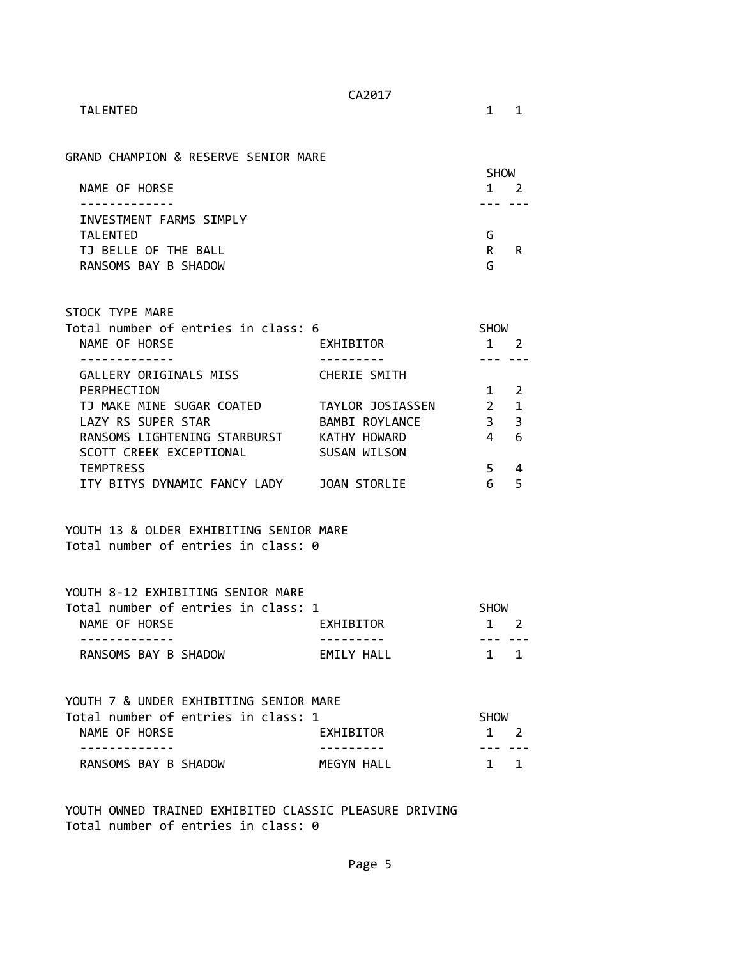TALENTED 1 1

GRAND CHAMPION & RESERVE SENIOR MARE

|                         | <b>SHOW</b> |
|-------------------------|-------------|
| NAME OF HORSE           | 1.          |
|                         |             |
| INVESTMENT FARMS SIMPLY |             |
| TAI FNTFD               | G           |
| TJ BELLE OF THE BALL    | R<br>R      |
| RANSOMS BAY B SHADOW    | G           |

| STOCK TYPE MARE                     |                  |               |               |
|-------------------------------------|------------------|---------------|---------------|
| Total number of entries in class: 6 |                  | <b>SHOW</b>   |               |
| NAME OF HORSE                       | EXHIBITOR        |               |               |
|                                     |                  |               |               |
| GALLERY ORIGINALS MISS              | CHERIE SMITH     |               |               |
| PERPHECTION                         |                  |               | $\mathcal{P}$ |
| TJ MAKE MINE SUGAR COATED           | TAYLOR JOSIASSEN | $\mathcal{P}$ | 1             |
| LAZY RS SUPER STAR                  | BAMBI ROYLANCE   | 3             | 3             |
| RANSOMS LIGHTENING STARBURST        | KATHY HOWARD     |               | 6             |
| SCOTT CREEK EXCEPTIONAL             | SUSAN WILSON     |               |               |
| <b>TEMPTRESS</b>                    |                  | 5             |               |
| ITY BITYS DYNAMIC FANCY LADY        | JOAN STORLIE     |               |               |

YOUTH 13 & OLDER EXHIBITING SENIOR MARE Total number of entries in class: 0

| YOUTH 8-12 EXHIBITING SENIOR MARE   |            |             |  |
|-------------------------------------|------------|-------------|--|
| Total number of entries in class: 1 |            | <b>SHOW</b> |  |
| NAME OF HORSE                       | EXHIBITOR  | $1 \quad 2$ |  |
|                                     |            |             |  |
| RANSOMS BAY B SHADOW                | FMTIY HAII | $1 \quad 1$ |  |

| YOUTH 7 & UNDER EXHIBITING SENIOR MARE |  |            |             |  |
|----------------------------------------|--|------------|-------------|--|
| Total number of entries in class: 1    |  |            | <b>SHOW</b> |  |
| NAME OF HORSE                          |  | EXHIBITOR  | $1 \quad 2$ |  |
|                                        |  |            |             |  |
| RANSOMS BAY B SHADOW                   |  | MEGYN HALL | $1 \quad 1$ |  |

YOUTH OWNED TRAINED EXHIBITED CLASSIC PLEASURE DRIVING Total number of entries in class: 0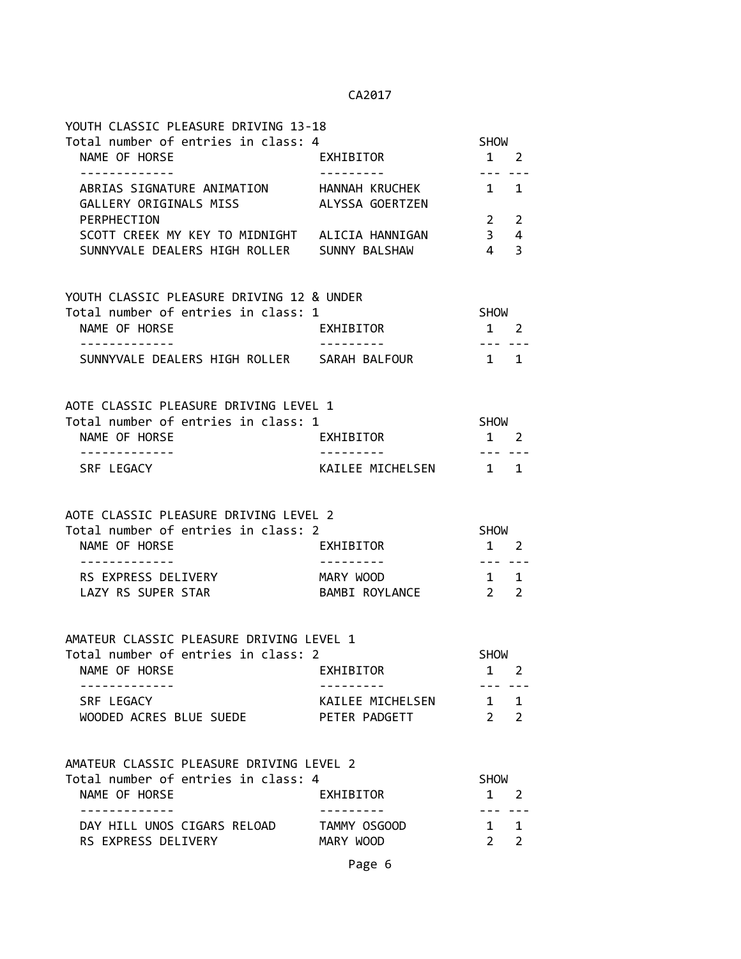| YOUTH CLASSIC PLEASURE DRIVING 13-18                                |                        |                                |                |
|---------------------------------------------------------------------|------------------------|--------------------------------|----------------|
| Total number of entries in class: 4                                 |                        | SHOW                           |                |
| NAME OF HORSE<br>-------------                                      | EXHIBITOR<br>--------- | $1 \quad 2$<br>$- - - -$       |                |
| ABRIAS SIGNATURE ANIMATION HANNAH KRUCHEK<br>GALLERY ORIGINALS MISS | ALYSSA GOERTZEN        | $1 \quad 1$                    |                |
| PERPHECTION                                                         |                        | $\overline{2}$                 | $\overline{2}$ |
| SCOTT CREEK MY KEY TO MIDNIGHT ALICIA HANNIGAN                      |                        | 3 <sup>7</sup>                 | 4              |
| SUNNYVALE DEALERS HIGH ROLLER SUNNY BALSHAW                         |                        | $\overline{4}$                 | 3              |
| YOUTH CLASSIC PLEASURE DRIVING 12 & UNDER                           |                        |                                |                |
| Total number of entries in class: 1                                 |                        | SHOW                           |                |
| NAME OF HORSE                                                       | EXHIBITOR              | $1 \quad 2$                    |                |
| SUNNYVALE DEALERS HIGH ROLLER SARAH BALFOUR                         |                        | $\sim$ 1 1                     |                |
| AOTE CLASSIC PLEASURE DRIVING LEVEL 1                               |                        |                                |                |
| Total number of entries in class: 1                                 |                        | SHOW                           |                |
| NAME OF HORSE                                                       | EXHIBITOR              | $1 \quad 2$                    |                |
| -------------<br>SRF LEGACY                                         | KAILEE MICHELSEN 1 1   | --- ---                        |                |
| AOTE CLASSIC PLEASURE DRIVING LEVEL 2                               |                        |                                |                |
| Total number of entries in class: 2                                 |                        | <b>SHOW</b>                    |                |
| NAME OF HORSE                                                       | EXHIBITOR              | $1 \quad 2$                    |                |
| RS EXPRESS DELIVERY                                                 | MARY WOOD              | $- - -$<br>$1 \quad 1$         |                |
| LAZY RS SUPER STAR                                                  | BAMBI ROYLANCE 2 2     |                                |                |
| AMATEUR CLASSIC PLEASURE DRIVING LEVEL 1                            |                        |                                |                |
| Total number of entries in class: 2                                 |                        | <b>SHOW</b>                    |                |
| NAME OF HORSE                                                       | <b>EXHIBITOR</b>       | 1                              | 2              |
| SRF LEGACY                                                          | KAILEE MICHELSEN       | $1 \quad$                      | $\mathbf{1}$   |
| WOODED ACRES BLUE SUEDE                                             | PETER PADGETT          | $2^{\circ}$                    | $\overline{2}$ |
| AMATEUR CLASSIC PLEASURE DRIVING LEVEL 2                            |                        |                                |                |
| Total number of entries in class: 4                                 |                        | <b>SHOW</b>                    |                |
| NAME OF HORSE                                                       | EXHIBITOR              | 1                              | 2              |
| ------------<br>DAY HILL UNOS CIGARS RELOAD                         | TAMMY OSGOOD           | $1 \quad$                      | $\mathbf 1$    |
| RS EXPRESS DELIVERY                                                 | MARY WOOD              | $2 \left( \frac{1}{2} \right)$ | $\overline{2}$ |
|                                                                     |                        |                                |                |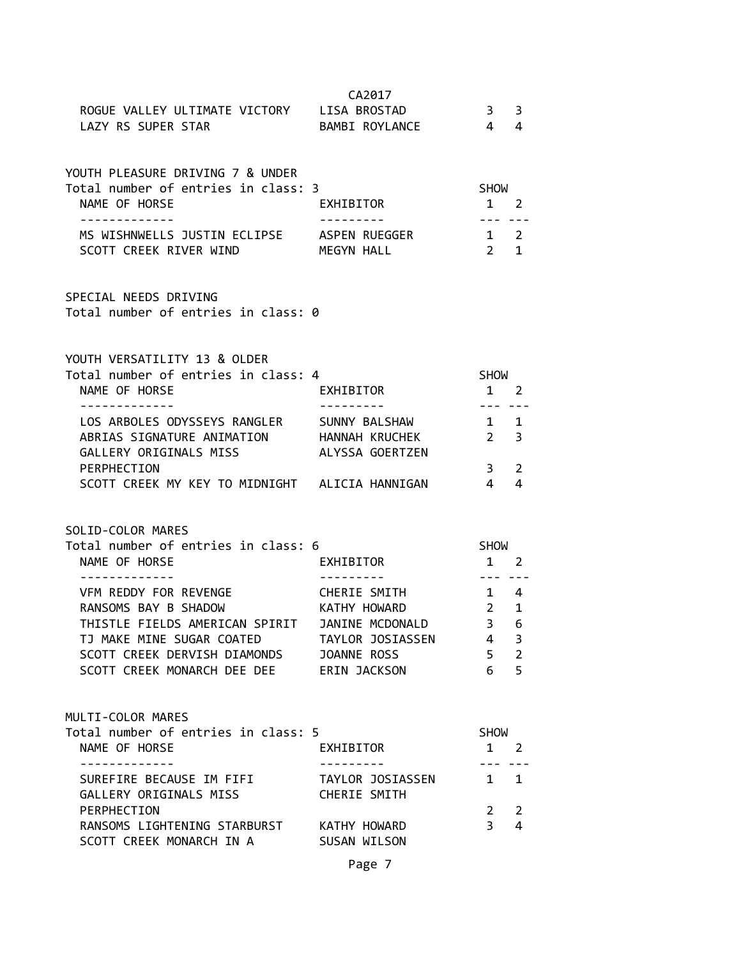|                                                                       | CA2017                  |                                                                                                                                                                                                                                                                                                                                                                                              |                |
|-----------------------------------------------------------------------|-------------------------|----------------------------------------------------------------------------------------------------------------------------------------------------------------------------------------------------------------------------------------------------------------------------------------------------------------------------------------------------------------------------------------------|----------------|
| ROGUE VALLEY ULTIMATE VICTORY LISA BROSTAD                            |                         | $\mathbf{3}$                                                                                                                                                                                                                                                                                                                                                                                 | 3              |
| LAZY RS SUPER STAR                                                    | BAMBI ROYLANCE          | $\overline{4}$                                                                                                                                                                                                                                                                                                                                                                               | 4              |
|                                                                       |                         |                                                                                                                                                                                                                                                                                                                                                                                              |                |
|                                                                       |                         |                                                                                                                                                                                                                                                                                                                                                                                              |                |
| YOUTH PLEASURE DRIVING 7 & UNDER                                      |                         |                                                                                                                                                                                                                                                                                                                                                                                              |                |
| Total number of entries in class: 3                                   |                         | <b>SHOW</b>                                                                                                                                                                                                                                                                                                                                                                                  |                |
| NAME OF HORSE                                                         | EXHIBITOR               | $1\quad 2$                                                                                                                                                                                                                                                                                                                                                                                   |                |
| -------------                                                         |                         | --- ---                                                                                                                                                                                                                                                                                                                                                                                      |                |
| MS WISHNWELLS JUSTIN ECLIPSE ASPEN RUEGGER                            |                         | $1 \quad 2$                                                                                                                                                                                                                                                                                                                                                                                  |                |
| SCOTT CREEK RIVER WIND MEGYN HALL                                     |                         | $2 \quad 1$                                                                                                                                                                                                                                                                                                                                                                                  |                |
|                                                                       |                         |                                                                                                                                                                                                                                                                                                                                                                                              |                |
|                                                                       |                         |                                                                                                                                                                                                                                                                                                                                                                                              |                |
| SPECIAL NEEDS DRIVING                                                 |                         |                                                                                                                                                                                                                                                                                                                                                                                              |                |
| Total number of entries in class: 0                                   |                         |                                                                                                                                                                                                                                                                                                                                                                                              |                |
|                                                                       |                         |                                                                                                                                                                                                                                                                                                                                                                                              |                |
|                                                                       |                         |                                                                                                                                                                                                                                                                                                                                                                                              |                |
| YOUTH VERSATILITY 13 & OLDER                                          |                         |                                                                                                                                                                                                                                                                                                                                                                                              |                |
| Total number of entries in class: 4                                   |                         | SHOW                                                                                                                                                                                                                                                                                                                                                                                         |                |
| NAME OF HORSE                                                         | EXHIBITOR               | $1 \quad 2$                                                                                                                                                                                                                                                                                                                                                                                  |                |
| --------------                                                        | .                       | $---$                                                                                                                                                                                                                                                                                                                                                                                        |                |
| LOS ARBOLES ODYSSEYS RANGLER SUNNY BALSHAW                            |                         | $1 \quad 1$                                                                                                                                                                                                                                                                                                                                                                                  |                |
| ABRIAS SIGNATURE ANIMATION HANNAH KRUCHEK                             |                         | $2^{\sim}$                                                                                                                                                                                                                                                                                                                                                                                   | $\overline{3}$ |
| GALLERY ORIGINALS MISS ALYSSA GOERTZEN                                |                         |                                                                                                                                                                                                                                                                                                                                                                                              |                |
|                                                                       |                         |                                                                                                                                                                                                                                                                                                                                                                                              |                |
| PERPHECTION                                                           |                         | $\mathbf{3}$                                                                                                                                                                                                                                                                                                                                                                                 | 2              |
| SCOTT CREEK MY KEY TO MIDNIGHT ALICIA HANNIGAN                        |                         | $\overline{4}$                                                                                                                                                                                                                                                                                                                                                                               | 4              |
|                                                                       |                         |                                                                                                                                                                                                                                                                                                                                                                                              |                |
|                                                                       |                         |                                                                                                                                                                                                                                                                                                                                                                                              |                |
| SOLID-COLOR MARES                                                     |                         |                                                                                                                                                                                                                                                                                                                                                                                              |                |
| Total number of entries in class: 6                                   |                         | <b>SHOW</b>                                                                                                                                                                                                                                                                                                                                                                                  |                |
| NAME OF HORSE                                                         | EXHIBITOR               | $1 \quad 2$                                                                                                                                                                                                                                                                                                                                                                                  |                |
|                                                                       |                         | $\frac{1}{2} \frac{1}{2} \frac{1}{2} \frac{1}{2} \frac{1}{2} \frac{1}{2} \frac{1}{2} \frac{1}{2} \frac{1}{2} \frac{1}{2} \frac{1}{2} \frac{1}{2} \frac{1}{2} \frac{1}{2} \frac{1}{2} \frac{1}{2} \frac{1}{2} \frac{1}{2} \frac{1}{2} \frac{1}{2} \frac{1}{2} \frac{1}{2} \frac{1}{2} \frac{1}{2} \frac{1}{2} \frac{1}{2} \frac{1}{2} \frac{1}{2} \frac{1}{2} \frac{1}{2} \frac{1}{2} \frac{$ |                |
| VFM REDDY FOR REVENGE CHERIE SMITH                                    |                         | $1 \quad 4$                                                                                                                                                                                                                                                                                                                                                                                  |                |
| RANSOMS BAY B SHADOW KATHY HOWARD                                     |                         | $\overline{2}$                                                                                                                                                                                                                                                                                                                                                                               | 1              |
| THISTLE FIELDS AMERICAN SPIRIT JANINE MCDONALD                        |                         | $\overline{\mathbf{3}}$                                                                                                                                                                                                                                                                                                                                                                      | 6              |
| TJ MAKE MINE SUGAR COATED                                             | TAYLOR JOSIASSEN        | $\overline{4}$                                                                                                                                                                                                                                                                                                                                                                               | 3              |
| SCOTT CREEK DERVISH DIAMONDS                                          | JOANNE ROSS             | 5 <sup>7</sup>                                                                                                                                                                                                                                                                                                                                                                               | $\overline{2}$ |
| SCOTT CREEK MONARCH DEE DEE ERIN JACKSON                              |                         | 6                                                                                                                                                                                                                                                                                                                                                                                            | 5              |
|                                                                       |                         |                                                                                                                                                                                                                                                                                                                                                                                              |                |
|                                                                       |                         |                                                                                                                                                                                                                                                                                                                                                                                              |                |
| MULTI-COLOR MARES                                                     |                         |                                                                                                                                                                                                                                                                                                                                                                                              |                |
| Total number of entries in class: 5                                   |                         | <b>SHOW</b>                                                                                                                                                                                                                                                                                                                                                                                  |                |
| NAME OF HORSE                                                         | EXHIBITOR<br>---------- | $1 \quad 2$                                                                                                                                                                                                                                                                                                                                                                                  |                |
| -------------                                                         |                         |                                                                                                                                                                                                                                                                                                                                                                                              |                |
| SUREFIRE BECAUSE IM FIFI TAYLOR JOSIASSEN                             |                         | $\mathbf{1}$                                                                                                                                                                                                                                                                                                                                                                                 | $\mathbf{1}$   |
| GALLERY ORIGINALS MISS                                                | CHERIE SMITH            |                                                                                                                                                                                                                                                                                                                                                                                              |                |
| PERPHECTION                                                           |                         | $\overline{2}$<br>3                                                                                                                                                                                                                                                                                                                                                                          | 2<br>4         |
| RANSOMS LIGHTENING STARBURST KATHY HOWARD<br>SCOTT CREEK MONARCH IN A | SUSAN WILSON            |                                                                                                                                                                                                                                                                                                                                                                                              |                |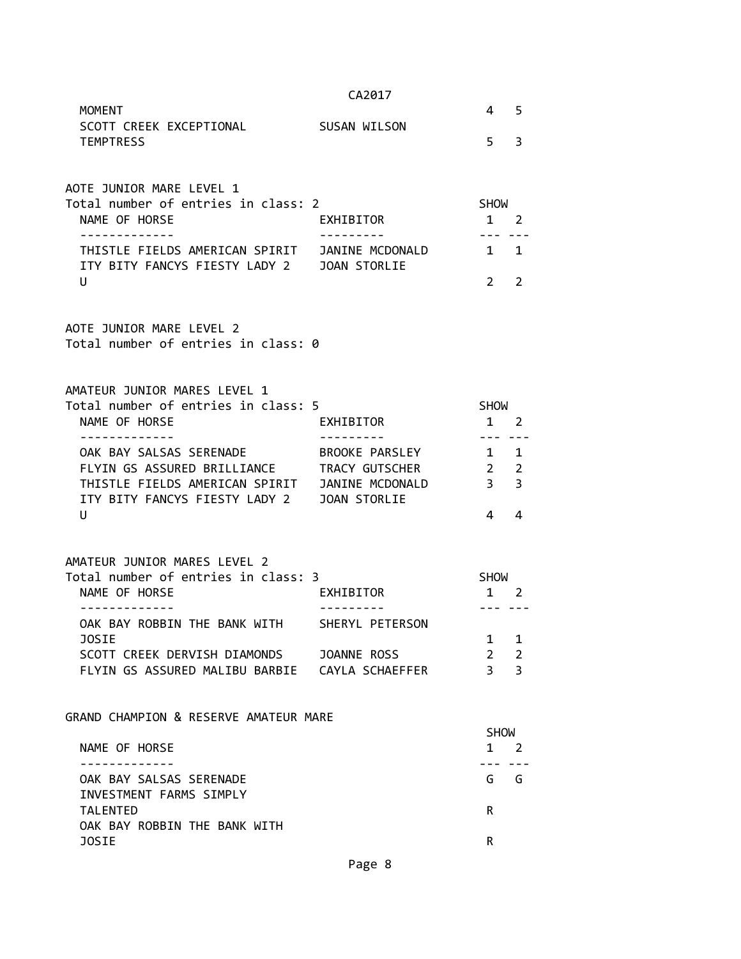|                                                                                              | CA2017          |                                  |                     |
|----------------------------------------------------------------------------------------------|-----------------|----------------------------------|---------------------|
| <b>MOMENT</b><br>SCOTT CREEK EXCEPTIONAL                                                     | SUSAN WILSON    | 4                                | 5                   |
| <b>TEMPTRESS</b>                                                                             |                 | 5                                | 3                   |
|                                                                                              |                 |                                  |                     |
| AOTE JUNIOR MARE LEVEL 1                                                                     |                 |                                  |                     |
| Total number of entries in class: 2<br>NAME OF HORSE                                         | EXHIBITOR       | <b>SHOW</b><br>1 2               |                     |
| -----------                                                                                  |                 |                                  |                     |
| THISTLE FIELDS AMERICAN SPIRIT JANINE MCDONALD<br>ITY BITY FANCYS FIESTY LADY 2 JOAN STORLIE |                 | 1 1                              |                     |
| U                                                                                            |                 | 2                                | 2                   |
| AOTE JUNIOR MARE LEVEL 2                                                                     |                 |                                  |                     |
| Total number of entries in class: 0                                                          |                 |                                  |                     |
| AMATEUR JUNIOR MARES LEVEL 1                                                                 |                 |                                  |                     |
| Total number of entries in class: 5                                                          |                 | <b>SHOW</b>                      |                     |
| NAME OF HORSE                                                                                | EXHIBITOR       | $1 \quad 2$                      |                     |
| .                                                                                            |                 | --- ---                          |                     |
| OAK BAY SALSAS SERENADE                                                                      | BROOKE PARSLEY  | 1 1                              |                     |
| FLYIN GS ASSURED BRILLIANCE<br>THISTLE FIELDS AMERICAN SPIRIT JANINE MCDONALD                | TRACY GUTSCHER  | $\overline{2}$<br>3 <sup>7</sup> | $\overline{2}$<br>3 |
| ITY BITY FANCYS FIESTY LADY 2 JOAN STORLIE                                                   |                 |                                  |                     |
| U                                                                                            |                 | 4                                | 4                   |
|                                                                                              |                 |                                  |                     |
| AMATEUR JUNIOR MARES LEVEL 2<br>Total number of entries in class: 3                          |                 | <b>SHOW</b>                      |                     |
| NAME OF HORSE                                                                                | EXHIBITOR       | 1 2                              |                     |
| . <u>.</u>                                                                                   |                 |                                  |                     |
| OAK BAY ROBBIN THE BANK WITH                                                                 | SHERYL PETERSON |                                  |                     |
| JOSIE                                                                                        |                 | 1                                | 1                   |
| SCOTT CREEK DERVISH DIAMONDS JOANNE ROSS                                                     |                 | $2^{\circ}$                      | $\overline{2}$      |
| FLYIN GS ASSURED MALIBU BARBIE  CAYLA SCHAEFFER                                              |                 | $\overline{3}$                   | 3                   |
| GRAND CHAMPION & RESERVE AMATEUR MARE                                                        |                 |                                  |                     |
|                                                                                              |                 | <b>SHOW</b>                      |                     |
| NAME OF HORSE                                                                                |                 | $\mathbf{1}$<br>- - - -          | 2                   |
| OAK BAY SALSAS SERENADE                                                                      |                 | G G                              |                     |
| INVESTMENT FARMS SIMPLY<br><b>TALENTED</b>                                                   |                 | R                                |                     |
| OAK BAY ROBBIN THE BANK WITH                                                                 |                 |                                  |                     |
| <b>JOSIE</b>                                                                                 |                 | R.                               |                     |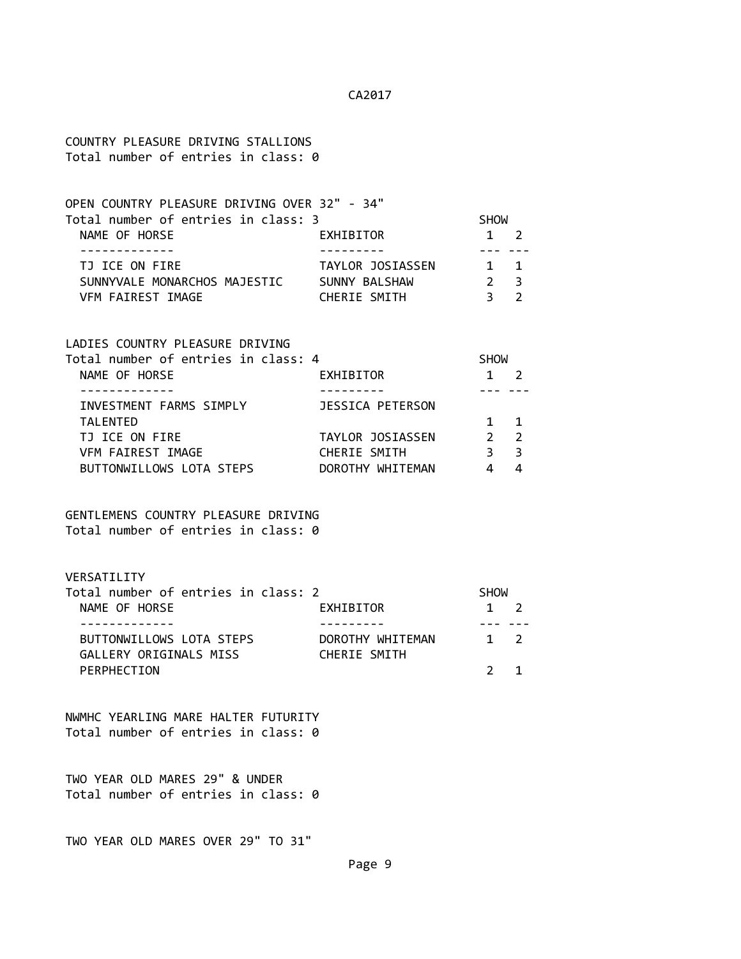COUNTRY PLEASURE DRIVING STALLIONS Total number of entries in class: 0

| OPEN COUNTRY PLEASURE DRIVING OVER 32" - 34" |                  |             |                |  |
|----------------------------------------------|------------------|-------------|----------------|--|
| Total number of entries in class: 3          |                  | <b>SHOW</b> |                |  |
| NAME OF HORSE                                | EXHIBITOR        |             | $1 \quad 2$    |  |
|                                              |                  |             |                |  |
| TJ ICE ON FIRE                               | TAYLOR JOSIASSEN |             | $1 \quad 1$    |  |
| SUNNYVALE MONARCHOS MAJESTIC                 | SUNNY BALSHAW    |             | 2 <sub>3</sub> |  |
| VFM FAIREST IMAGE                            | CHERIE SMITH     |             |                |  |

LADIES COUNTRY PLEASURE DRIVING

| Total number of entries in class: 4 |                  | <b>SHOW</b> |                |  |
|-------------------------------------|------------------|-------------|----------------|--|
| NAME OF HORSE                       | EXHIBITOR        |             |                |  |
|                                     |                  |             |                |  |
| INVESTMENT FARMS SIMPLY             | JESSICA PETERSON |             |                |  |
| <b>TALENTED</b>                     |                  |             | $\overline{1}$ |  |
| TJ ICE ON FIRE                      | TAYLOR JOSIASSEN |             | $\overline{2}$ |  |
| VFM FAIREST IMAGE                   | CHERIE SMITH     |             | - 3            |  |
| BUTTONWILLOWS LOTA STEPS            | DOROTHY WHITEMAN |             |                |  |
|                                     |                  |             |                |  |

### GENTLEMENS COUNTRY PLEASURE DRIVING Total number of entries in class: 0

VERSATILITY

| Total number of entries in class: 2 |                  | <b>SHOW</b> |             |  |
|-------------------------------------|------------------|-------------|-------------|--|
| NAME OF HORSE                       | EXHIBITOR        |             | $1 \quad 2$ |  |
|                                     |                  |             |             |  |
| BUTTONWILLOWS LOTA STEPS            | DOROTHY WHITEMAN |             | $1 \quad 2$ |  |
| GALLERY ORIGINALS MISS              | CHERIE SMITH     |             |             |  |
| PERPHECTION                         |                  |             |             |  |

NWMHC YEARLING MARE HALTER FUTURITY Total number of entries in class: 0

TWO YEAR OLD MARES 29" & UNDER Total number of entries in class: 0

TWO YEAR OLD MARES OVER 29" TO 31"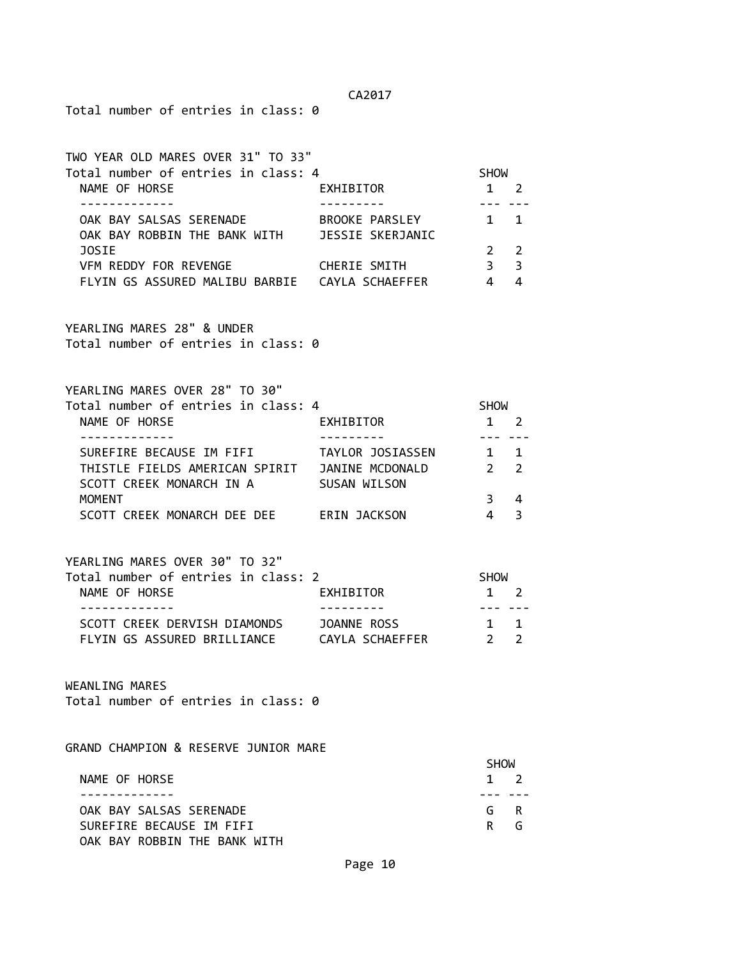Total number of entries in class: 0

TWO YEAR OLD MARES OVER 31" TO 33" Total number of entries in class: 4 SHOW NAME OF HORSE THE RESERVE EXHIBITOR THE 2 2 ------------- --------- --- --- OAK BAY SALSAS SERENADE BROOKE PARSLEY 1 1 OAK BAY ROBBIN THE BANK WITH JESSIE SKERJANIC JOSIE 2 2 VFM REDDY FOR REVENGE CHERIE SMITH 3 3 3 FLYIN GS ASSURED MALIBU BARBIE CAYLA SCHAEFFER 4 4 YEARLING MARES 28" & UNDER Total number of entries in class: 0 YEARLING MARES OVER 28" TO 30" Total number of entries in class: 4 SHOW NAME OF HORSE **EXHIBITOR** 1 2 ------------- --------- --- --- SUREFIRE BECAUSE IM FIFI TAYLOR JOSIASSEN 1 1 THISTLE FIELDS AMERICAN SPIRIT JANINE MCDONALD 2 2 SCOTT CREEK MONARCH IN A SUSAN WILSON MOMENT 3 4 SCOTT CREEK MONARCH DEE DEE ERIN JACKSON 4 3 YEARLING MARES OVER 30" TO 32" Total number of entries in class: 2 SHOW NAME OF HORSE **EXHIBITOR** 1 2 ------------- --------- --- --- SCOTT CREEK DERVISH DIAMONDS JOANNE ROSS 1 1 1 FLYIN GS ASSURED BRILLIANCE CAYLA SCHAEFFER 2 2 WEANLING MARES Total number of entries in class: 0 GRAND CHAMPION & RESERVE JUNIOR MARE **SHOW SHOW** NAME OF HORSE 1 2 ------------- --- --- OAK BAY SALSAS SERENADE G R SUREFIRE BECAUSE IM FIFI **Reduction In the SUREFIRE BECAUSE** OAK BAY ROBBIN THE BANK WITH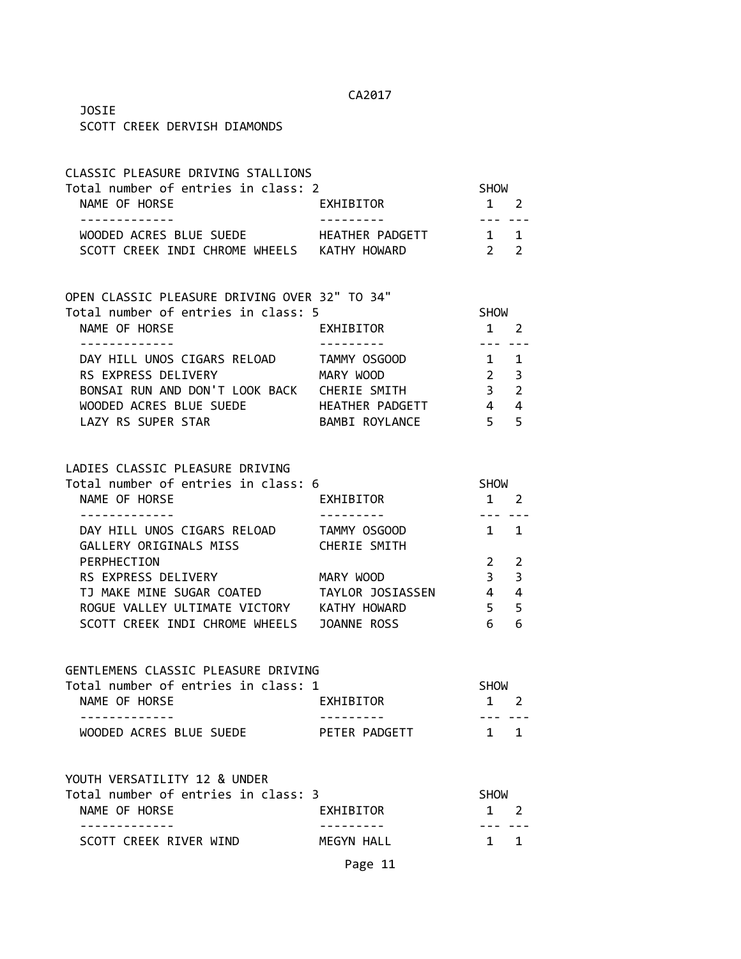JOSIE SCOTT CREEK DERVISH DIAMONDS

| CLASSIC PLEASURE DRIVING STALLIONS                           |                         |                            |                |
|--------------------------------------------------------------|-------------------------|----------------------------|----------------|
| Total number of entries in class: 2                          |                         | <b>SHOW</b>                |                |
| NAME OF HORSE                                                | EXHIBITOR               | $1 \quad 2$                |                |
| -------------<br>WOODED ACRES BLUE SUEDE HEATHER PADGETT 1 1 |                         | -------                    |                |
| SCOTT CREEK INDI CHROME WHEELS KATHY HOWARD                  |                         | $\overline{2}$             | 2              |
|                                                              |                         |                            |                |
| OPEN CLASSIC PLEASURE DRIVING OVER 32" TO 34"                |                         |                            |                |
| Total number of entries in class: 5                          |                         | SHOW                       |                |
| NAME OF HORSE<br>-------------                               | EXHIBITOR<br>---------- | $1 \quad 2$<br>--- ---     |                |
| DAY HILL UNOS CIGARS RELOAD TAMMY OSGOOD                     |                         | $1 \quad 1$                |                |
| RS EXPRESS DELIVERY MARY WOOD                                |                         | $2 \quad 3$                |                |
| BONSAI RUN AND DON'T LOOK BACK CHERIE SMITH                  |                         | 3 <sup>7</sup>             | $\overline{2}$ |
| WOODED ACRES BLUE SUEDE                                      | HEATHER PADGETT         | $\overline{4}$             | $\overline{4}$ |
| LAZY RS SUPER STAR                                           | BAMBI ROYLANCE 5        |                            | 5              |
| LADIES CLASSIC PLEASURE DRIVING                              |                         |                            |                |
| Total number of entries in class: 6                          |                         | <b>SHOW</b>                |                |
| NAME OF HORSE                                                | EXHIBITOR               | $1\quad 2$                 |                |
| -------------                                                | ----------              | --- ---                    |                |
| DAY HILL UNOS CIGARS RELOAD TAMMY OSGOOD                     |                         | $1 \quad 1$                |                |
| GALLERY ORIGINALS MISS CHERIE SMITH                          |                         |                            |                |
| PERPHECTION                                                  |                         | $\overline{2}$             | 2              |
| RS EXPRESS DELIVERY MARY WOOD                                |                         | $\overline{\phantom{a}}$ 3 | 3              |
| TJ MAKE MINE SUGAR COATED TAYLOR JOSIASSEN 4 4               |                         |                            |                |
| ROGUE VALLEY ULTIMATE VICTORY KATHY HOWARD                   |                         | 5 <sub>5</sub>             | 5              |
| SCOTT CREEK INDI CHROME WHEELS JOANNE ROSS                   |                         | 6                          | 6              |
| GENTLEMENS CLASSIC PLEASURE DRIVING                          |                         |                            |                |
| Total number of entries in class: 1                          |                         | <b>SHOW</b>                |                |
| NAME OF HORSE                                                | EXHIBITOR               | $1 \quad 2$                |                |
| WOODED ACRES BLUE SUEDE                                      | PETER PADGETT           |                            | $1 \quad 1$    |
|                                                              |                         |                            |                |
| YOUTH VERSATILITY 12 & UNDER                                 |                         |                            |                |
| Total number of entries in class: 3                          |                         | <b>SHOW</b>                |                |
| NAME OF HORSE<br>-----------                                 | EXHIBITOR               | $1 \quad 2$                |                |
| SCOTT CREEK RIVER WIND                                       | MEGYN HALL              |                            | $1 \quad 1$    |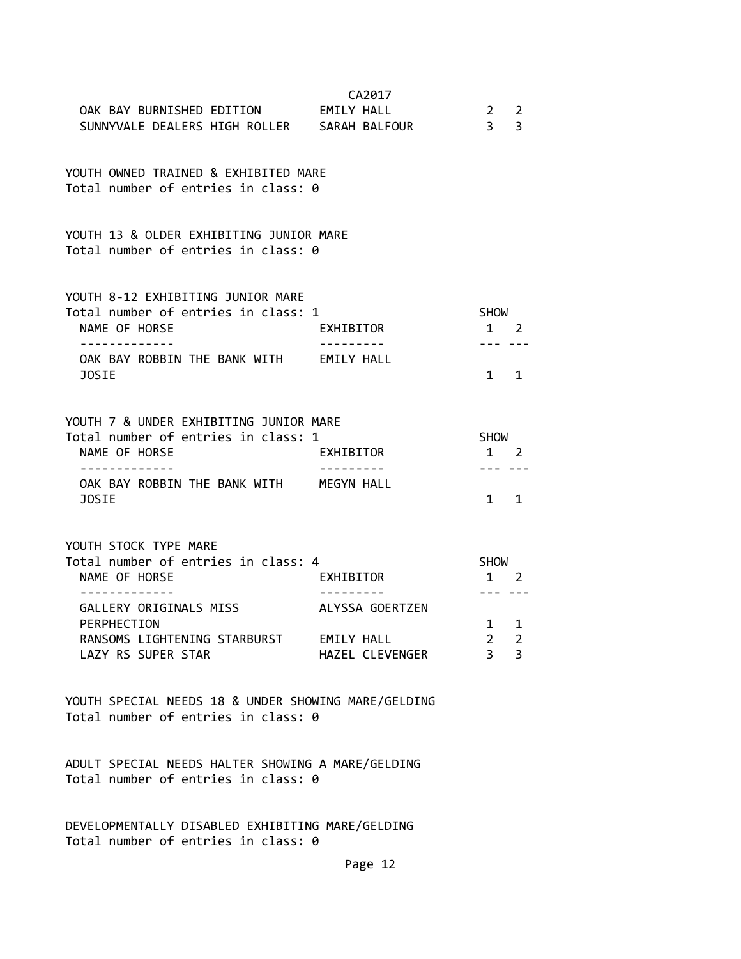| OAK BAY BURNISHED EDITION EMILY HALL<br>SUNNYVALE DEALERS HIGH ROLLER SARAH BALFOUR                                                                       | CA2017                             | $\overline{2}$<br>$\overline{3}$     | 2<br>$\overline{3}$ |
|-----------------------------------------------------------------------------------------------------------------------------------------------------------|------------------------------------|--------------------------------------|---------------------|
| YOUTH OWNED TRAINED & EXHIBITED MARE<br>Total number of entries in class: 0                                                                               |                                    |                                      |                     |
| YOUTH 13 & OLDER EXHIBITING JUNIOR MARE<br>Total number of entries in class: 0                                                                            |                                    |                                      |                     |
| YOUTH 8-12 EXHIBITING JUNIOR MARE<br>Total number of entries in class: 1<br>NAME OF HORSE<br>. <u>.</u>                                                   | EXHIBITOR                          | SHOW<br>$1 \quad 2$                  |                     |
| OAK BAY ROBBIN THE BANK WITH EMILY HALL<br>JOSIE                                                                                                          |                                    | $1 \quad$                            | $\mathbf{1}$        |
| YOUTH 7 & UNDER EXHIBITING JUNIOR MARE<br>Total number of entries in class: 1<br>NAME OF HORSE<br>OAK BAY ROBBIN THE BANK WITH MEGYN HALL<br><b>JOSIE</b> | EXHIBITOR                          | SHOW<br>1 2<br>$1 \quad 1$           |                     |
| YOUTH STOCK TYPE MARE<br>Total number of entries in class: 4<br>NAME OF HORSE<br>. <u>.</u> .                                                             | EXHIBITOR                          | <b>SHOW</b><br>1 2<br>---            |                     |
| GALLERY ORIGINALS MISS<br>PERPHECTION<br>RANSOMS LIGHTENING STARBURST EMILY HALL<br>LAZY RS SUPER STAR                                                    | ALYSSA GOERTZEN<br>HAZEL CLEVENGER | 1 1<br>$2^{\circ}$<br>$\overline{3}$ | 2<br>3              |
| YOUTH SPECIAL NEEDS 18 & UNDER SHOWING MARE/GELDING<br>Total number of entries in class: 0                                                                |                                    |                                      |                     |
| ADULT SPECIAL NEEDS HALTER SHOWING A MARE/GELDING<br>Total number of entries in class: 0                                                                  |                                    |                                      |                     |

DEVELOPMENTALLY DISABLED EXHIBITING MARE/GELDING Total number of entries in class: 0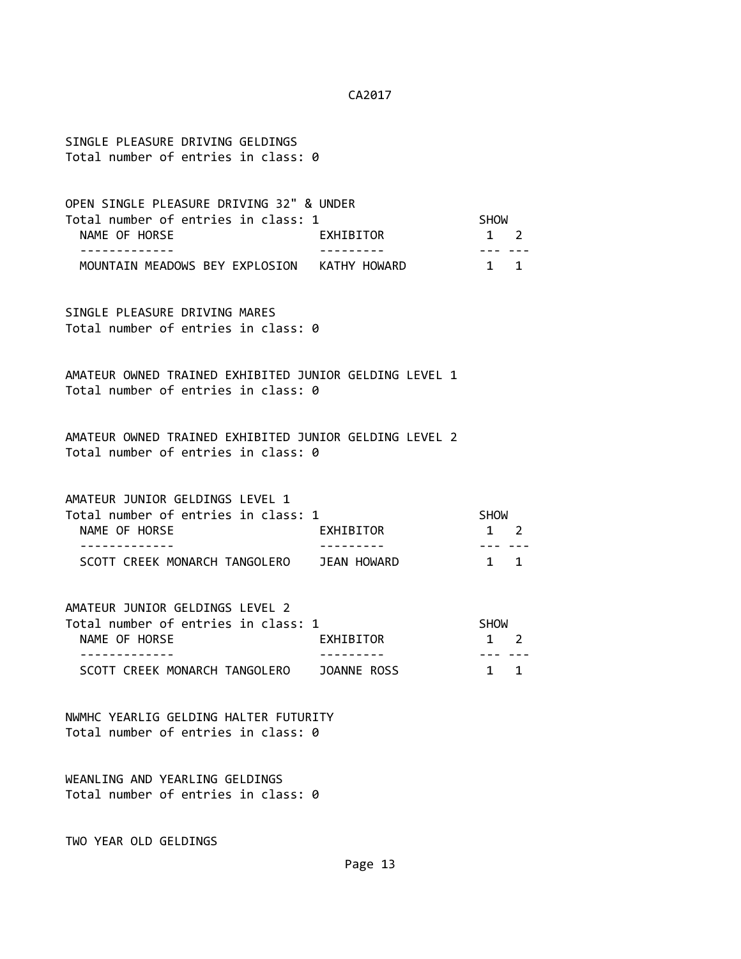SINGLE PLEASURE DRIVING GELDINGS Total number of entries in class: 0

OPEN SINGLE PLEASURE DRIVING 32" & UNDER Total number of entries in class: 1 SHOW NAME OF HORSE **EXHIBITOR** 1 2 ------------- --------- --- --- MOUNTAIN MEADOWS BEY EXPLOSION KATHY HOWARD 1 1

SINGLE PLEASURE DRIVING MARES Total number of entries in class: 0

AMATEUR OWNED TRAINED EXHIBITED JUNIOR GELDING LEVEL 1 Total number of entries in class: 0

AMATEUR OWNED TRAINED EXHIBITED JUNIOR GELDING LEVEL 2 Total number of entries in class: 0

AMATEUR JUNIOR GELDINGS LEVEL 1 Total number of entries in class: 1 SHOW NAME OF HORSE **EXHIBITOR** 2 ------------- --------- --- --- SCOTT CREEK MONARCH TANGOLERO JEAN HOWARD 1 1

AMATEUR JUNIOR GELDINGS LEVEL 2 Total number of entries in class: 1 SHOW NAME OF HORSE **EXHIBITOR** 1 2 ------------- --------- --- --- SCOTT CREEK MONARCH TANGOLERO JOANNE ROSS 1 1 1

NWMHC YEARLIG GELDING HALTER FUTURITY Total number of entries in class: 0

WEANLING AND YEARLING GELDINGS Total number of entries in class: 0

TWO YEAR OLD GELDINGS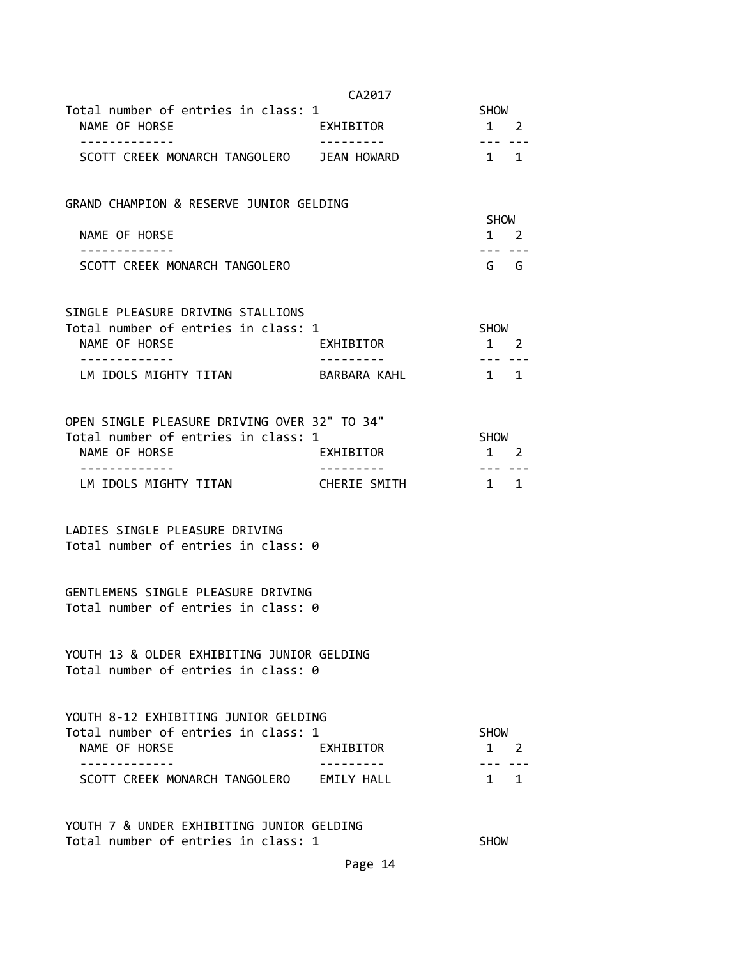|                                                                                                                          | CA2017       |                            |  |
|--------------------------------------------------------------------------------------------------------------------------|--------------|----------------------------|--|
| Total number of entries in class: 1                                                                                      |              | SHOW                       |  |
| NAME OF HORSE                                                                                                            | EXHIBITOR    | $1 \quad 2$                |  |
| SCOTT CREEK MONARCH TANGOLERO JEAN HOWARD                                                                                |              | $1 \quad 1$                |  |
| GRAND CHAMPION & RESERVE JUNIOR GELDING                                                                                  |              |                            |  |
| NAME OF HORSE                                                                                                            |              | SHOW<br>$1 \quad 2$        |  |
| ------------<br>SCOTT CREEK MONARCH TANGOLERO                                                                            |              | G G                        |  |
| SINGLE PLEASURE DRIVING STALLIONS<br>Total number of entries in class: 1                                                 |              | <b>SHOW</b>                |  |
| NAME OF HORSE                                                                                                            | EXHIBITOR    | $1 \quad 2$                |  |
| . _ _ _ _ _ _ _ _ _ _ _ _<br>LM IDOLS MIGHTY TITAN                                                                       | BARBARA KAHL | $1 \quad 1$                |  |
| OPEN SINGLE PLEASURE DRIVING OVER 32" TO 34"                                                                             |              |                            |  |
| Total number of entries in class: 1<br>NAME OF HORSE                                                                     | EXHIBITOR    | SHOW<br>$1 \quad 2$        |  |
| LM IDOLS MIGHTY TITAN                                                                                                    | CHERIE SMITH | 1 1                        |  |
| LADIES SINGLE PLEASURE DRIVING<br>Total number of entries in class: 0                                                    |              |                            |  |
| GENTLEMENS SINGLE PLEASURE DRIVING                                                                                       |              |                            |  |
|                                                                                                                          |              |                            |  |
| Total number of entries in class: 0<br>YOUTH 13 & OLDER EXHIBITING JUNIOR GELDING<br>Total number of entries in class: 0 |              |                            |  |
| YOUTH 8-12 EXHIBITING JUNIOR GELDING<br>Total number of entries in class: 1<br>NAME OF HORSE                             | EXHIBITOR    | <b>SHOW</b><br>$1 \quad 2$ |  |

Total number of entries in class: 1 SHOW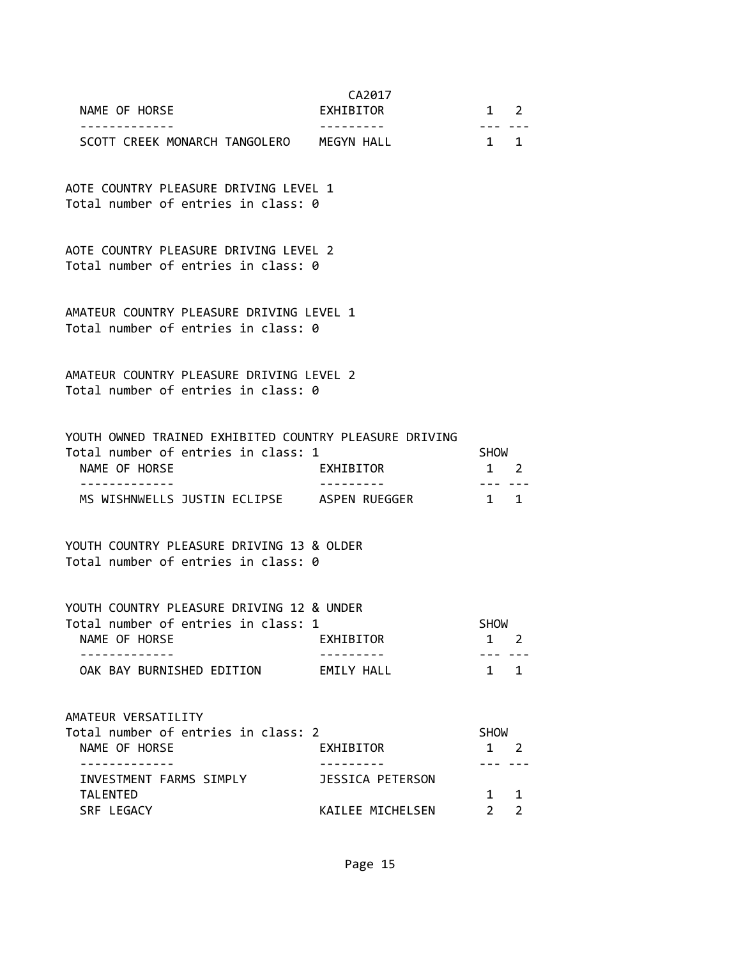| NAME OF HORSE                                                                                                                               | CA2017<br>EXHIBITOR                  | $\mathbf{1}$                        | 2                   |
|---------------------------------------------------------------------------------------------------------------------------------------------|--------------------------------------|-------------------------------------|---------------------|
| SCOTT CREEK MONARCH TANGOLERO MEGYN HALL                                                                                                    |                                      | $1 \quad 1$                         |                     |
| AOTE COUNTRY PLEASURE DRIVING LEVEL 1<br>Total number of entries in class: 0                                                                |                                      |                                     |                     |
| AOTE COUNTRY PLEASURE DRIVING LEVEL 2<br>Total number of entries in class: 0                                                                |                                      |                                     |                     |
| AMATEUR COUNTRY PLEASURE DRIVING LEVEL 1<br>Total number of entries in class: 0                                                             |                                      |                                     |                     |
| AMATEUR COUNTRY PLEASURE DRIVING LEVEL 2<br>Total number of entries in class: 0                                                             |                                      |                                     |                     |
| YOUTH OWNED TRAINED EXHIBITED COUNTRY PLEASURE DRIVING<br>Total number of entries in class: 1<br>NAME OF HORSE<br>. _ _ _ _ _ _ _ _ _ _ _ _ | EXHIBITOR                            | <b>SHOW</b><br>$1 \quad$<br>--- --- | 2                   |
| MS WISHNWELLS JUSTIN ECLIPSE ASPEN RUEGGER                                                                                                  |                                      | $\sim$ 1                            | 1                   |
| YOUTH COUNTRY PLEASURE DRIVING 13 & OLDER<br>Total number of entries in class: 0                                                            |                                      |                                     |                     |
| YOUTH COUNTRY PLEASURE DRIVING 12 & UNDER<br>Total number of entries in class: 1<br>NAME OF HORSE                                           | EXHIBITOR                            | <b>SHOW</b><br>1                    | $\overline{2}$      |
| OAK BAY BURNISHED EDITION                                                                                                                   | EMILY HALL                           |                                     | $1 \quad 1$         |
| AMATEUR VERSATILITY<br>Total number of entries in class: 2<br>NAME OF HORSE                                                                 | EXHIBITOR                            | <b>SHOW</b><br>$1\quad 2$           |                     |
| .<br>INVESTMENT FARMS SIMPLY<br><b>TALENTED</b><br>SRF LEGACY                                                                               | JESSICA PETERSON<br>KAILEE MICHELSEN | 1<br>$\overline{2}$                 | 1<br>$\overline{2}$ |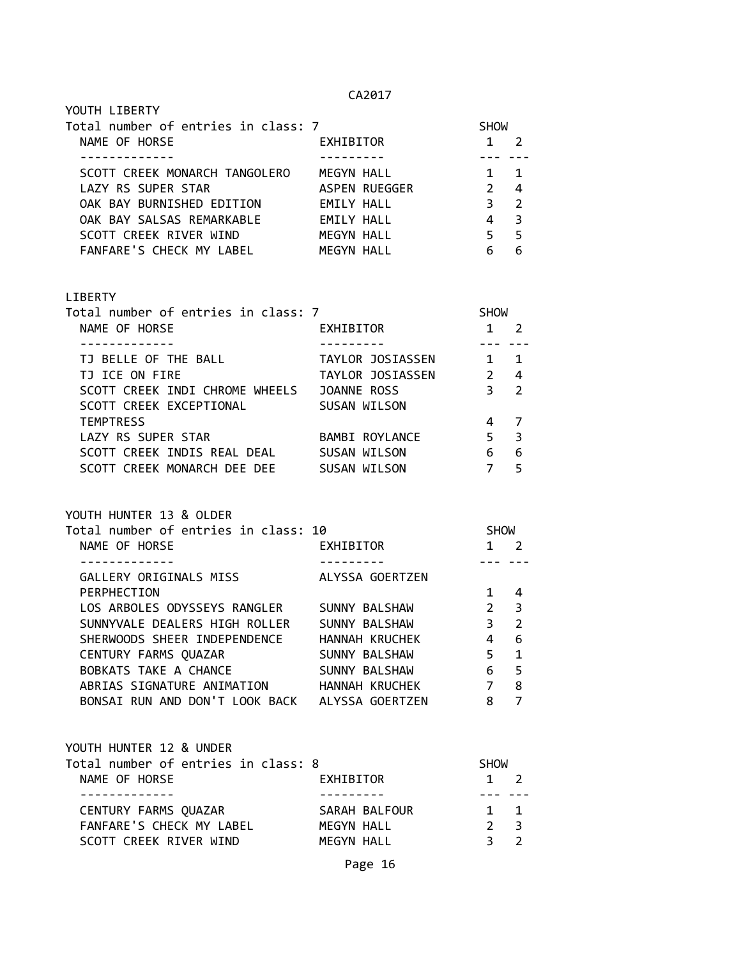| YOUTH LIBERTY                       |                   |             |                         |
|-------------------------------------|-------------------|-------------|-------------------------|
| Total number of entries in class: 7 |                   | <b>SHOW</b> |                         |
| NAME OF HORSE                       | EXHIBITOR         | 1           |                         |
|                                     |                   |             |                         |
| SCOTT CREEK MONARCH TANGOLERO       | MEGYN HALL        |             |                         |
| LAZY RS SUPER STAR                  | ASPEN RUEGGER     | 2           | 4                       |
| OAK BAY BURNISHED EDITION           | EMILY HALL        | 3           | $\mathcal{P}$           |
| OAK BAY SALSAS REMARKABLE           | <b>EMILY HALL</b> | 4           | $\overline{\mathbf{3}}$ |
| SCOTT CREEK RIVER WIND              | MEGYN HALL        | 5           | -5                      |
| FANFARE'S CHECK MY LABEL            | MFGYN HALL        |             | 6                       |

# LIBERTY

| Total number of entries in class: 7 |                       | <b>SHOW</b>   |                         |
|-------------------------------------|-----------------------|---------------|-------------------------|
| NAME OF HORSE                       | EXHIBITOR             |               |                         |
|                                     |                       |               |                         |
| TJ BELLE OF THE BALL                | TAYLOR JOSIASSEN      |               | 1                       |
| TJ ICE ON FIRE                      | TAYLOR JOSIASSEN      | $\mathcal{P}$ | 4                       |
| SCOTT CREEK INDI CHROME WHEELS      | JOANNE ROSS           | З             | $\overline{\mathbf{2}}$ |
| SCOTT CREEK EXCEPTIONAL             | SUSAN WILSON          |               |                         |
| <b>TEMPTRESS</b>                    |                       |               |                         |
| LAZY RS SUPER STAR                  | <b>BAMBI ROYLANCE</b> | 5             | 3                       |
| SCOTT CREEK INDIS REAL DEAL         | SUSAN WILSON          | 6             | 6                       |
| SCOTT CREEK MONARCH DEE DEE         | SUSAN WILSON          |               | 5                       |

# YOUTH HUNTER 13 & OLDER

| Total number of entries in class: 10 |                 | <b>SHOW</b>   |                |
|--------------------------------------|-----------------|---------------|----------------|
| NAME OF HORSE                        | EXHIBITOR       |               | 2              |
|                                      |                 |               |                |
| GALLERY ORIGINALS MISS               | ALYSSA GOERTZEN |               |                |
| PERPHECTION                          |                 |               | 4              |
| LOS ARBOLES ODYSSEYS RANGLER         | SUNNY BALSHAW   | $\mathcal{P}$ | 3              |
| SUNNYVALE DEALERS HIGH ROLLER        | SUNNY BALSHAW   | 3             | $\overline{2}$ |
| SHERWOODS SHEER INDEPENDENCE         | HANNAH KRUCHEK  | 4             | 6              |
| CENTURY FARMS QUAZAR                 | SUNNY BALSHAW   | 5             | 1              |
| BOBKATS TAKE A CHANCE                | SUNNY BALSHAW   | 6             | 5              |
| ABRIAS SIGNATURE ANIMATION           | HANNAH KRUCHEK  | 7             | 8              |
| BONSAI RUN AND DON'T LOOK BACK       | ALYSSA GOERTZEN | 8             |                |

| YOUTH HUNTER 12 & UNDER             |               |                |  |
|-------------------------------------|---------------|----------------|--|
| Total number of entries in class: 8 |               | <b>SHOW</b>    |  |
| NAME OF HORSE                       | EXHIBITOR     | $1 \quad 2$    |  |
|                                     |               |                |  |
| CENTURY FARMS QUAZAR                | SARAH BALFOUR | $1 \quad 1$    |  |
| FANFARE'S CHECK MY LABEL            | MEGYN HALL    | 2 <sup>3</sup> |  |
| SCOTT CREEK RIVER WIND              | MEGYN HALL    |                |  |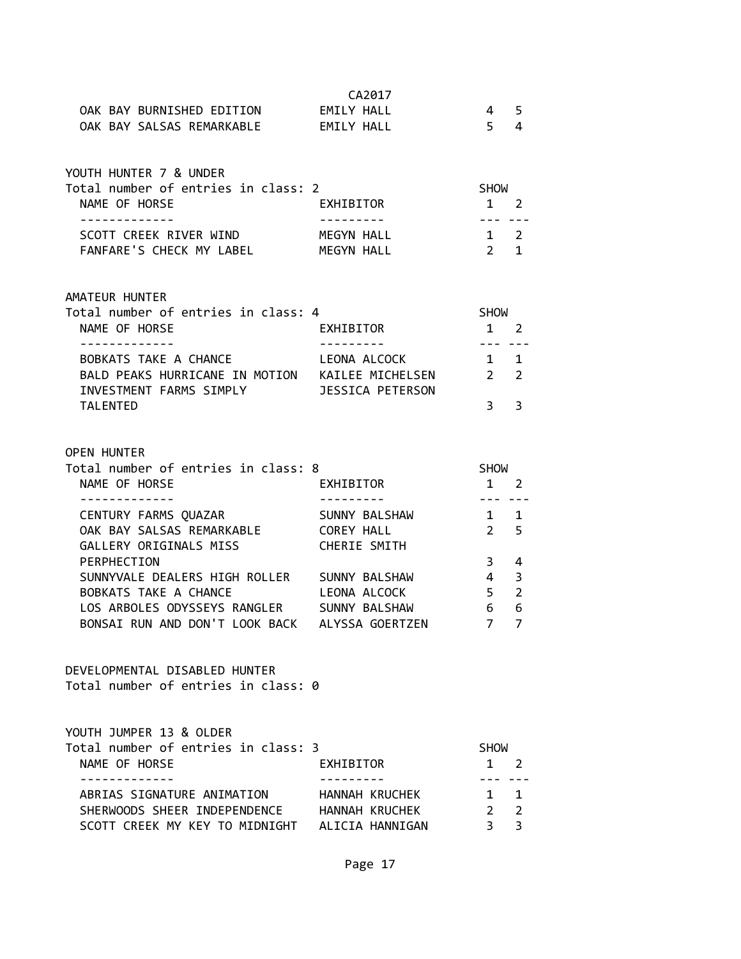|                                                 | CA2017              |                |                |
|-------------------------------------------------|---------------------|----------------|----------------|
| OAK BAY BURNISHED EDITION EMILY HALL            |                     | $\overline{4}$ | 5              |
| OAK BAY SALSAS REMARKABLE EMILY HALL            |                     | 5 <sup>7</sup> | 4              |
|                                                 |                     |                |                |
|                                                 |                     |                |                |
| YOUTH HUNTER 7 & UNDER                          |                     |                |                |
| Total number of entries in class: 2             |                     | <b>SHOW</b>    |                |
| NAME OF HORSE                                   | EXHIBITOR           | $1 \quad 2$    |                |
| . <u>.</u>                                      | .                   | --- --         |                |
| SCOTT CREEK RIVER WIND MEGYN HALL               |                     | $1\quad 2$     |                |
| FANFARE'S CHECK MY LABEL                        | MEGYN HALL          | $2^{\circ}$    | $\mathbf{1}$   |
|                                                 |                     |                |                |
| AMATEUR HUNTER                                  |                     |                |                |
| Total number of entries in class: 4             |                     | SHOW           |                |
| NAME OF HORSE                                   | EXHIBITOR           | $1 \quad 2$    |                |
| -------------                                   | ----------          | $- - -$        |                |
| BOBKATS TAKE A CHANCE LEONA ALCOCK              |                     | $1 \quad 1$    |                |
| BALD PEAKS HURRICANE IN MOTION KAILEE MICHELSEN |                     | $\overline{2}$ | 2              |
| INVESTMENT FARMS SIMPLY <b>SESSICA PETERSON</b> |                     |                |                |
| <b>TALENTED</b>                                 |                     | 3              | 3              |
|                                                 |                     |                |                |
|                                                 |                     |                |                |
| <b>OPEN HUNTER</b>                              |                     |                |                |
| Total number of entries in class: 8             |                     | <b>SHOW</b>    |                |
| NAME OF HORSE                                   | EXHIBITOR           | 1 2            |                |
|                                                 |                     | $- - -$        |                |
| CENTURY FARMS QUAZAR                            | SUNNY BALSHAW       | $1 \quad 1$    |                |
| OAK BAY SALSAS REMARKABLE COREY HALL            |                     | $2^{\circ}$    | 5              |
| GALLERY ORIGINALS MISS                          | <b>CHERIE SMITH</b> |                |                |
| PERPHECTION                                     |                     | $3^{\circ}$    | 4              |
| SUNNYVALE DEALERS HIGH ROLLER SUNNY BALSHAW     |                     | $\overline{4}$ | 3              |
| BOBKATS TAKE A CHANCE                           |                     |                |                |
|                                                 | LEONA ALCOCK        | $5 -$          | $\overline{2}$ |
| LOS ARBOLES ODYSSEYS RANGLER SUNNY BALSHAW      |                     | 6              | 6              |
| BONSAI RUN AND DON'T LOOK BACK                  | ALYSSA GOERTZEN     | $\overline{7}$ | 7              |
|                                                 |                     |                |                |
|                                                 |                     |                |                |
| DEVELOPMENTAL DISABLED HUNTER                   |                     |                |                |
| Total number of entries in class: 0             |                     |                |                |
|                                                 |                     |                |                |
|                                                 |                     |                |                |
| YOUTH JUMPER 13 & OLDER                         |                     |                |                |
| Total number of entries in class: 3             |                     | <b>SHOW</b>    |                |
| NAME OF HORSE                                   | EXHIBITOR           | $\mathbf{1}$   | 2              |
| -----------                                     |                     |                |                |
| ABRIAS SIGNATURE ANIMATION HANNAH KRUCHEK       |                     | $\mathbf{1}$   | 1              |
| SHERWOODS SHEER INDEPENDENCE HANNAH KRUCHEK     |                     | $2^{\circ}$    | $\overline{2}$ |
| SCOTT CREEK MY KEY TO MIDNIGHT ALICIA HANNIGAN  |                     | $\overline{3}$ | 3              |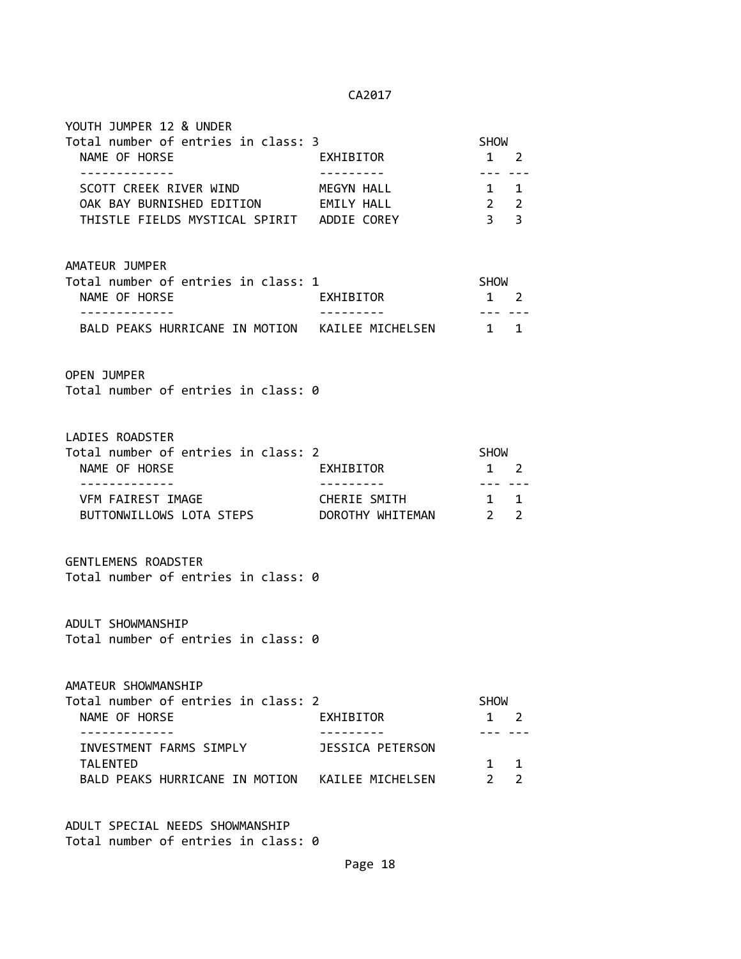| YOUTH JUMPER 12 & UNDER<br>Total number of entries in class: 3<br>NAME OF HORSE<br>-------------                                                                             | EXHIBITOR                        | SHOW<br>$1 \quad 2$<br>--- ---                                         |
|------------------------------------------------------------------------------------------------------------------------------------------------------------------------------|----------------------------------|------------------------------------------------------------------------|
| SCOTT CREEK RIVER WIND<br>OAK BAY BURNISHED EDITION EMILY HALL<br>THISTLE FIELDS MYSTICAL SPIRIT ADDIE COREY                                                                 | MEGYN HALL                       | 1 1<br>$2\quad 2$<br>3 <sup>3</sup>                                    |
| AMATEUR JUMPER<br>Total number of entries in class: 1<br>NAME OF HORSE                                                                                                       | EXHIBITOR                        | SHOW<br>$1 \quad 2$<br>$- - -$                                         |
| BALD PEAKS HURRICANE IN MOTION KAILEE MICHELSEN 1 1                                                                                                                          |                                  |                                                                        |
| <b>OPEN JUMPER</b><br>Total number of entries in class: 0                                                                                                                    |                                  |                                                                        |
| LADIES ROADSTER<br>Total number of entries in class: 2<br>NAME OF HORSE<br>------------                                                                                      | EXHIBITOR                        | SHOW<br>$1 \quad 2$<br>$- - - -$                                       |
| VFM FAIREST IMAGE<br>BUTTONWILLOWS LOTA STEPS                                                                                                                                | CHERIE SMITH<br>DOROTHY WHITEMAN | 1 1<br>$\overline{\mathbf{2}}$<br>$\overline{2}$                       |
| <b>GENTLEMENS ROADSTER</b><br>Total number of entries in class: 0                                                                                                            |                                  |                                                                        |
| ADULT SHOWMANSHIP<br>Total number of entries in class: 0                                                                                                                     |                                  |                                                                        |
| AMATEUR SHOWMANSHIP<br>Total number of entries in class: 2<br>NAME OF HORSE<br>INVESTMENT FARMS SIMPLY<br><b>TALENTED</b><br>BALD PEAKS HURRICANE IN MOTION KAILEE MICHELSEN | EXHIBITOR<br>JESSICA PETERSON    | SHOW<br>$1 \quad 2$<br>$1 \quad$<br>1<br>$2^{\circ}$<br>$\overline{2}$ |

ADULT SPECIAL NEEDS SHOWMANSHIP Total number of entries in class: 0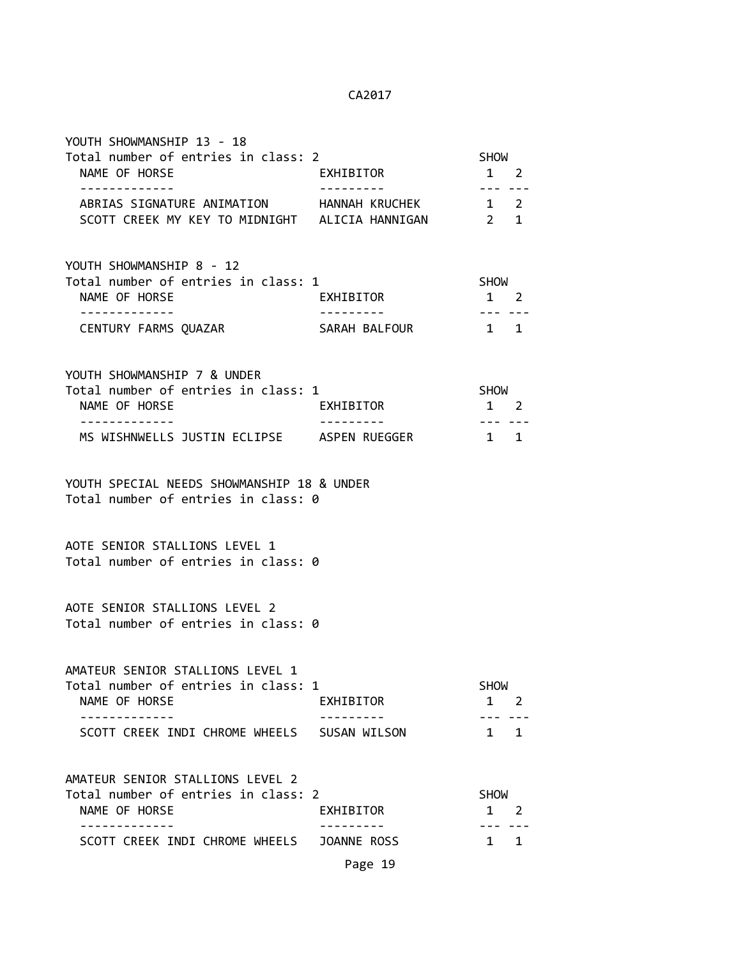| Total number of entries in class: 2<br>EXHIBITOR                                               |                                    |                                                                                                                                       |
|------------------------------------------------------------------------------------------------|------------------------------------|---------------------------------------------------------------------------------------------------------------------------------------|
| ABRIAS SIGNATURE ANIMATION HANNAH KRUCHEK                                                      | $1 \quad 2$                        |                                                                                                                                       |
| Total number of entries in class: 1<br>EXHIBITOR                                               | SHOW                               |                                                                                                                                       |
|                                                                                                |                                    |                                                                                                                                       |
| Total number of entries in class: 1<br>EXHIBITOR                                               | $1 \quad 2$                        |                                                                                                                                       |
| MS WISHNWELLS JUSTIN ECLIPSE ASPEN RUEGGER                                                     | $1 \quad 1$                        |                                                                                                                                       |
| YOUTH SPECIAL NEEDS SHOWMANSHIP 18 & UNDER<br>Total number of entries in class: 0              |                                    |                                                                                                                                       |
| Total number of entries in class: 0                                                            |                                    |                                                                                                                                       |
| Total number of entries in class: 0                                                            |                                    |                                                                                                                                       |
| Total number of entries in class: 1<br>EXHIBITOR                                               | SHOW<br>1 2                        |                                                                                                                                       |
| SCOTT CREEK INDI CHROME WHEELS SUSAN WILSON                                                    | $1 \quad 1$                        |                                                                                                                                       |
| Total number of entries in class: 2<br>EXHIBITOR<br>SCOTT CREEK INDI CHROME WHEELS JOANNE ROSS | SHOW<br>$1 \quad 2$<br>$1 \quad 1$ |                                                                                                                                       |
|                                                                                                | SARAH BALFOUR                      | SHOW<br>$1 \quad 2$<br>--- ---<br>SCOTT CREEK MY KEY TO MIDNIGHT ALICIA HANNIGAN 2 1<br>$1 \quad 2$<br>$1 \quad 1$<br>SHOW<br>--- --- |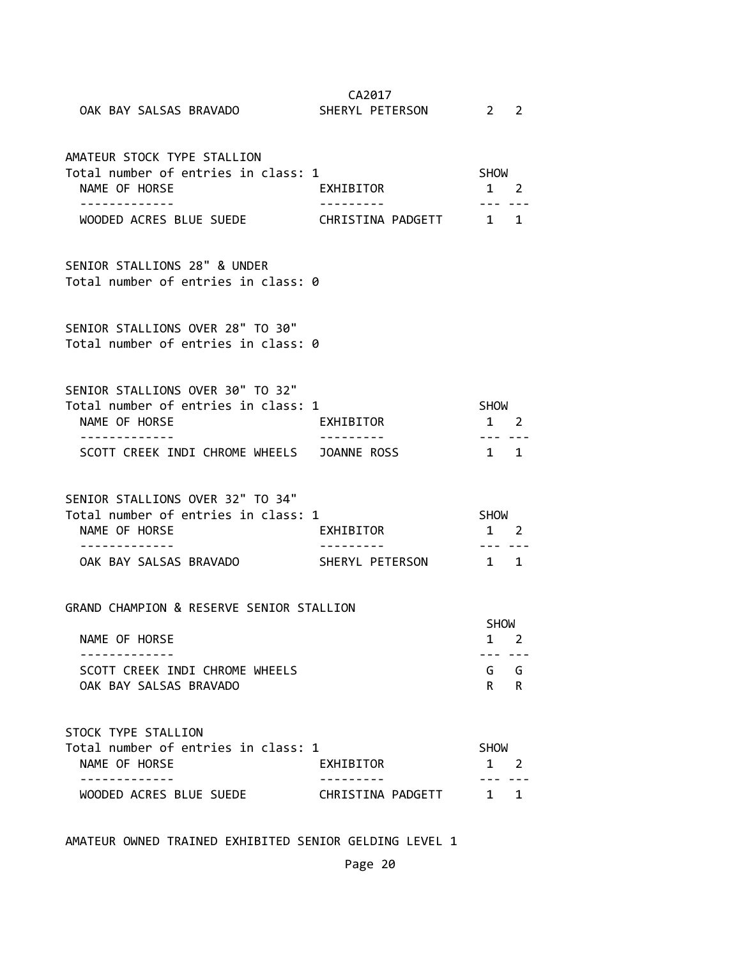| OAK BAY SALSAS BRAVADO                                                                              | CA2017<br>SHERYL PETERSON    | $2 \t2$                              |   |
|-----------------------------------------------------------------------------------------------------|------------------------------|--------------------------------------|---|
| AMATEUR STOCK TYPE STALLION<br>Total number of entries in class: 1<br>NAME OF HORSE<br>------------ | EXHIBITOR                    | <b>SHOW</b><br>$1 \quad 2$<br>--- -- |   |
| WOODED ACRES BLUE SUEDE THE CHRISTINA PADGETT 1 1                                                   |                              |                                      |   |
| SENIOR STALLIONS 28" & UNDER<br>Total number of entries in class: 0                                 |                              |                                      |   |
| SENIOR STALLIONS OVER 28" TO 30"<br>Total number of entries in class: 0                             |                              |                                      |   |
| SENIOR STALLIONS OVER 30" TO 32"<br>Total number of entries in class: 1<br>NAME OF HORSE            | EXHIBITOR                    | <b>SHOW</b><br>$1 \quad 2$           |   |
| -----------<br>SCOTT CREEK INDI CHROME WHEELS JOANNE ROSS                                           |                              | $1 \quad 1$                          |   |
| SENIOR STALLIONS OVER 32" TO 34"<br>Total number of entries in class: 1<br>NAME OF HORSE            | EXHIBITOR                    | SHOW<br>1 2                          |   |
| -------------<br>OAK BAY SALSAS BRAVADO                                                             | ---------<br>SHERYL PETERSON | --- ---<br>1 1                       |   |
| GRAND CHAMPION & RESERVE SENIOR STALLION<br>NAME OF HORSE                                           |                              | <b>SHOW</b><br>$\mathbf{1}$          | 2 |
| SCOTT CREEK INDI CHROME WHEELS<br>OAK BAY SALSAS BRAVADO                                            |                              | . <i>.</i><br>G G<br>R               | R |
| STOCK TYPE STALLION<br>Total number of entries in class: 1<br>NAME OF HORSE                         | EXHIBITOR                    | <b>SHOW</b><br>$1 \quad 2$           |   |
| WOODED ACRES BLUE SUEDE                                                                             | CHRISTINA PADGETT 1 1        |                                      |   |

AMATEUR OWNED TRAINED EXHIBITED SENIOR GELDING LEVEL 1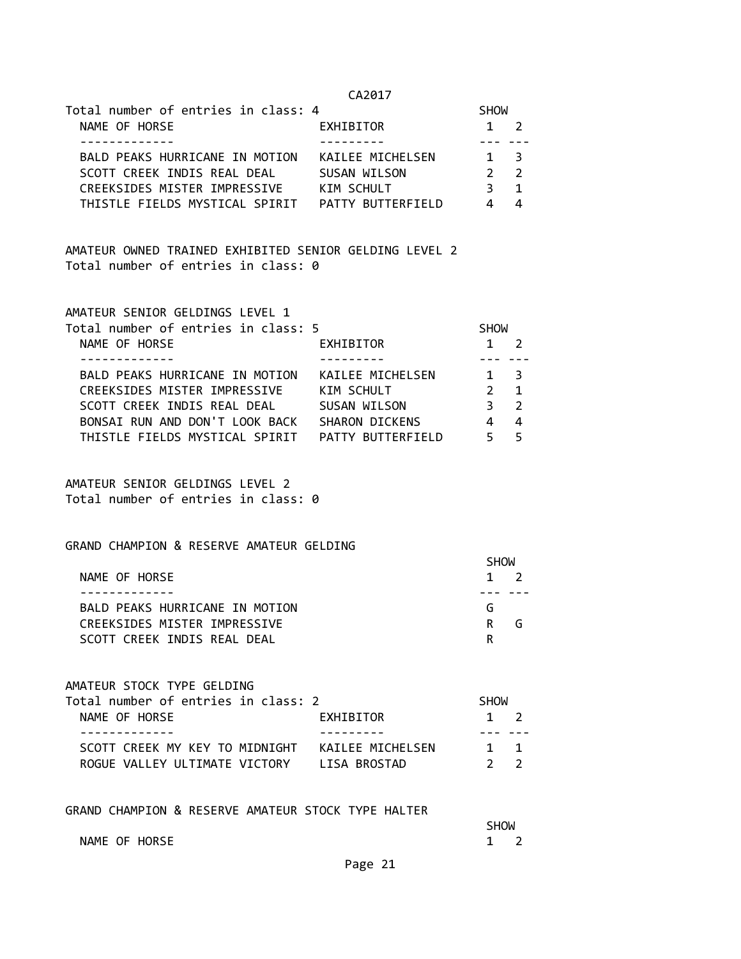| j<br>٠ |
|--------|
|--------|

| Total number of entries in class: 4 |                   | <b>SHOW</b>      |                          |
|-------------------------------------|-------------------|------------------|--------------------------|
| NAME OF HORSE                       | EXHIBITOR         | $1 \quad 2$      |                          |
|                                     |                   |                  |                          |
| BALD PEAKS HURRICANE IN MOTION      | KAILEE MICHELSEN  | $1 \overline{3}$ |                          |
| SCOTT CREEK INDIS REAL DEAL         | SUSAN WILSON      |                  | $\overline{\phantom{a}}$ |
| CREEKSIDES MISTER IMPRESSIVE        | KIM SCHULT        |                  | $\blacksquare$           |
| THISTLE FIELDS MYSTICAL SPIRIT      | PATTY BUTTERFIELD |                  |                          |

AMATEUR OWNED TRAINED EXHIBITED SENIOR GELDING LEVEL 2 Total number of entries in class: 0

| AMATEUR SENIOR GELDINGS LEVEL 1     |             |
|-------------------------------------|-------------|
| Total number of entries in close: E | <b>SHUM</b> |

| <u> TOLAT HUMDEL OF EHTLER TH CT922: D</u> |                   | <b>DUM</b>  |                          |  |
|--------------------------------------------|-------------------|-------------|--------------------------|--|
| NAME OF HORSE                              | EXHIBITOR         |             | $1 \quad 2$              |  |
|                                            |                   |             |                          |  |
| BALD PEAKS HURRICANE IN MOTION             | KAILEE MICHELSEN  | $1 \quad 3$ |                          |  |
| CREEKSIDES MISTER IMPRESSIVE               | KIM SCHULT        |             | $\blacksquare$           |  |
| SCOTT CREEK INDIS REAL DEAL                | SUSAN WILSON      |             | $\overline{\phantom{a}}$ |  |
| BONSAI RUN AND DON'T LOOK BACK             | SHARON DICKENS    |             | 4                        |  |
| THISTLE FIELDS MYSTICAL SPIRIT             | PATTY BUTTERFIELD |             | - 5                      |  |

AMATEUR SENIOR GELDINGS LEVEL 2 Total number of entries in class: 0

# GRAND CHAMPION & RESERVE AMATEUR GELDING

|                                | SHOW        |  |
|--------------------------------|-------------|--|
| NAME OF HORSE                  | $1 \quad 2$ |  |
|                                |             |  |
| BALD PEAKS HURRICANE IN MOTION | G           |  |
| CREEKSIDES MISTER IMPRESSIVE   | R<br>G.     |  |
| SCOTT CREEK INDIS REAL DEAL    |             |  |

AMATEUR STOCK TYPE GELDING

| Total number of entries in class: 2 | SHOW                         |  |
|-------------------------------------|------------------------------|--|
| NAME OF HORSE<br>EXHIBITOR          | $1 \quad 2$                  |  |
|                                     |                              |  |
|                                     | $1 \quad 1$                  |  |
| ROGUE VALLEY ULTIMATE VICTORY       | LISA BROSTAD<br>$2^{\prime}$ |  |

GRAND CHAMPION & RESERVE AMATEUR STOCK TYPE HALTER

|               | <b>SHOW</b>  |  |
|---------------|--------------|--|
| NAME OF HORSE | $\mathbf{1}$ |  |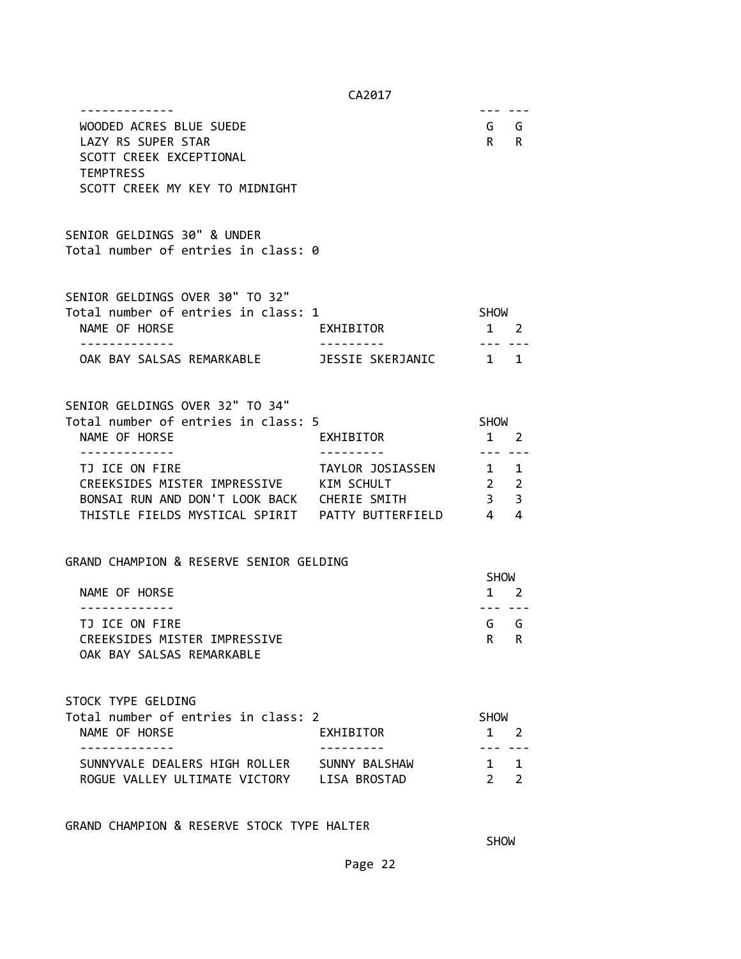| WOODED ACRES BLUE SUEDE<br>LAZY RS SUPER STAR<br>SCOTT CREEK EXCEPTIONAL<br><b>TEMPTRESS</b><br>SCOTT CREEK MY KEY TO MIDNIGHT |                        |                                                      | G G<br>$R$ R                  |
|--------------------------------------------------------------------------------------------------------------------------------|------------------------|------------------------------------------------------|-------------------------------|
| SENIOR GELDINGS 30" & UNDER<br>Total number of entries in class: 0                                                             |                        |                                                      |                               |
| SENIOR GELDINGS OVER 30" TO 32"<br>Total number of entries in class: 1<br>NAME OF HORSE<br>.                                   | EXHIBITOR              | SHOW<br>1 2                                          |                               |
|                                                                                                                                |                        |                                                      |                               |
| SENIOR GELDINGS OVER 32" TO 34"<br>Total number of entries in class: 5<br>NAME OF HORSE<br>-------------                       | EXHIBITOR<br>--------- | SHOW<br>1 2                                          |                               |
| TJ ICE ON FIRE<br>CREEKSIDES MISTER IMPRESSIVE KIM SCHULT<br>BONSAI RUN AND DON'T LOOK BACK CHERIE SMITH                       | TAYLOR JOSIASSEN 1 1   | --- ---<br>2 <sub>2</sub><br>$\overline{\mathbf{3}}$ | 3                             |
| GRAND CHAMPION & RESERVE SENIOR GELDING<br>NAME OF HORSE                                                                       |                        | <b>SHOW</b>                                          | $1 \quad 2$                   |
| TJ ICE ON FIRE<br>CREEKSIDES MISTER IMPRESSIVE<br>OAK BAY SALSAS REMARKABLE                                                    |                        | ---<br>$R$ R                                         | G G                           |
| STOCK TYPE GELDING<br>Total number of entries in class: 2<br>NAME OF HORSE                                                     | EXHIBITOR              | <b>SHOW</b>                                          | $1 \quad 2$                   |
| SUNNYVALE DEALERS HIGH ROLLER SUNNY BALSHAW<br>ROGUE VALLEY ULTIMATE VICTORY LISA BROSTAD                                      |                        | $2^{\circ}$                                          | $1 \quad 1$<br>$\overline{2}$ |

GRAND CHAMPION & RESERVE STOCK TYPE HALTER

**SHOW SHOW**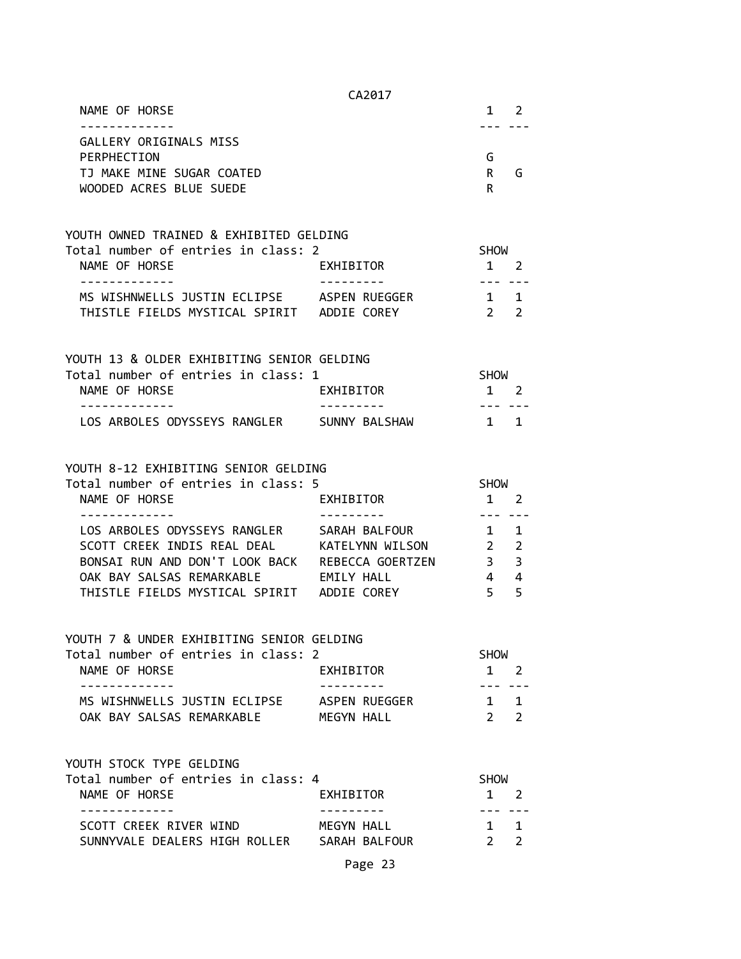|                                                                                               | CA2017                 |                                  |                |
|-----------------------------------------------------------------------------------------------|------------------------|----------------------------------|----------------|
| NAME OF HORSE<br>.                                                                            |                        |                                  | 1 2            |
| GALLERY ORIGINALS MISS<br>PERPHECTION<br>TJ MAKE MINE SUGAR COATED<br>WOODED ACRES BLUE SUEDE |                        | G<br>$R \Box$<br>R               | G              |
| YOUTH OWNED TRAINED & EXHIBITED GELDING                                                       |                        |                                  |                |
| Total number of entries in class: 2                                                           |                        | <b>SHOW</b>                      |                |
| NAME OF HORSE                                                                                 | EXHIBITOR              | 1 2<br>$- - -$                   |                |
| MS WISHNWELLS JUSTIN ECLIPSE ASPEN RUEGGER<br>THISTLE FIELDS MYSTICAL SPIRIT ADDIE COREY      |                        | $1 \quad 1$<br>$2 \quad 2$       |                |
| YOUTH 13 & OLDER EXHIBITING SENIOR GELDING                                                    |                        |                                  |                |
| Total number of entries in class: 1                                                           |                        | SHOW                             |                |
| NAME OF HORSE                                                                                 | EXHIBITOR              | $1 \quad 2$                      |                |
| LOS ARBOLES ODYSSEYS RANGLER SUNNY BALSHAW                                                    |                        | $1 \quad 1$                      |                |
| YOUTH 8-12 EXHIBITING SENIOR GELDING<br>Total number of entries in class: 5                   |                        | <b>SHOW</b>                      |                |
| NAME OF HORSE                                                                                 | EXHIBITOR              | 1 2                              |                |
|                                                                                               |                        |                                  |                |
| LOS ARBOLES ODYSSEYS RANGLER SARAH BALFOUR                                                    |                        | $\mathbf{1}$                     | 1              |
| SCOTT CREEK INDIS REAL DEAL KATELYNN WILSON                                                   |                        | $\overline{2}$                   | $\overline{2}$ |
| BONSAI RUN AND DON'T LOOK BACK REBECCA GOERTZEN<br>OAK BAY SALSAS REMARKABLE EMILY HALL       |                        | $\overline{3}$<br>$\overline{4}$ | 3<br>4         |
| THISTLE FIELDS MYSTICAL SPIRIT ADDIE COREY                                                    |                        | 5 <sup>7</sup>                   | 5              |
| YOUTH 7 & UNDER EXHIBITING SENIOR GELDING                                                     |                        |                                  |                |
| Total number of entries in class: 2                                                           |                        | SHOW                             |                |
| NAME OF HORSE<br>-------------                                                                | EXHIBITOR<br>--------- |                                  | $1 \quad 2$    |
| MS WISHNWELLS JUSTIN ECLIPSE ASPEN RUEGGER                                                    |                        | ----<br>$1 \quad 1$              |                |
| OAK BAY SALSAS REMARKABLE                                                                     | MEGYN HALL             | $2^{\circ}$                      | $\overline{2}$ |
| YOUTH STOCK TYPE GELDING                                                                      |                        |                                  |                |
| Total number of entries in class: 4                                                           |                        | <b>SHOW</b>                      |                |
| NAME OF HORSE                                                                                 | EXHIBITOR              | 1 2<br>. <u>.</u>                |                |
| SCOTT CREEK RIVER WIND                                                                        | MEGYN HALL             | $1 \quad 1$                      |                |
| SUNNYVALE DEALERS HIGH ROLLER SARAH BALFOUR                                                   |                        | $2^{\circ}$                      | $\overline{2}$ |
|                                                                                               | Page 23                |                                  |                |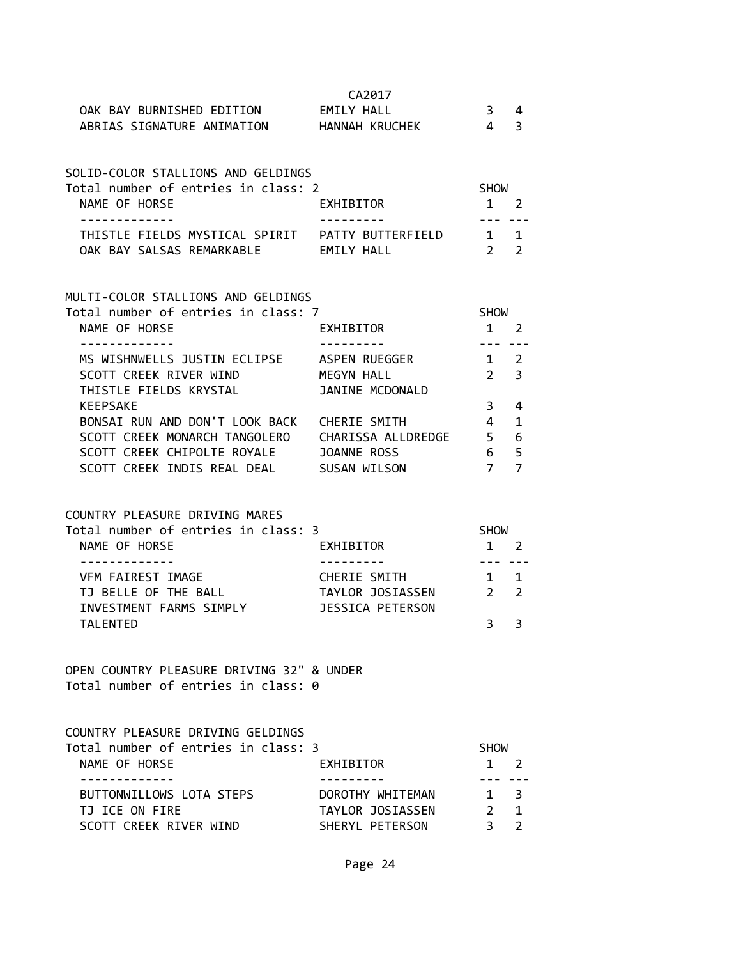|                                                                                                   | CA2017                           |                                                                                                                                                      |             |
|---------------------------------------------------------------------------------------------------|----------------------------------|------------------------------------------------------------------------------------------------------------------------------------------------------|-------------|
| OAK BAY BURNISHED EDITION EMILY HALL                                                              |                                  | 3 4                                                                                                                                                  |             |
| ABRIAS SIGNATURE ANIMATION HANNAH KRUCHEK 4 3                                                     |                                  |                                                                                                                                                      |             |
| SOLID-COLOR STALLIONS AND GELDINGS                                                                |                                  |                                                                                                                                                      |             |
| Total number of entries in class: 2                                                               |                                  | SHOW                                                                                                                                                 |             |
| NAME OF HORSE                                                                                     | EXHIBITOR                        | $1 \quad 2$<br>--- ---                                                                                                                               |             |
|                                                                                                   |                                  |                                                                                                                                                      |             |
| OAK BAY SALSAS REMARKABLE EMILY HALL                                                              |                                  | 2 <sup>2</sup>                                                                                                                                       |             |
| MULTI-COLOR STALLIONS AND GELDINGS                                                                |                                  |                                                                                                                                                      |             |
| Total number of entries in class: 7                                                               |                                  | SHOW                                                                                                                                                 |             |
| NAME OF HORSE                                                                                     | EXHIBITOR                        | $1 \quad 2$                                                                                                                                          |             |
| .<br>MS WISHNWELLS JUSTIN ECLIPSE ASPEN RUEGGER                                                   | ----------                       | --- --<br>$1\quad 2$                                                                                                                                 |             |
| SCOTT CREEK RIVER WIND                                                                            | MEGYN HALL                       | $2 \overline{3}$                                                                                                                                     |             |
| THISTLE FIELDS KRYSTAL                                                                            | JANINE MCDONALD                  |                                                                                                                                                      |             |
| <b>KEEPSAKE</b>                                                                                   |                                  | 3 <sup>7</sup>                                                                                                                                       | 4           |
| BONSAI RUN AND DON'T LOOK BACK CHERIE SMITH<br>SCOTT CREEK MONARCH TANGOLERO CHARISSA ALLDREDGE 5 |                                  | $\overline{4}$                                                                                                                                       | 1           |
| SCOTT CREEK CHIPOLTE ROYALE JOANNE ROSS                                                           |                                  | 6 5                                                                                                                                                  | 6           |
| SCOTT CREEK INDIS REAL DEAL SUSAN WILSON                                                          |                                  | 7 7                                                                                                                                                  |             |
|                                                                                                   |                                  |                                                                                                                                                      |             |
| COUNTRY PLEASURE DRIVING MARES<br>Total number of entries in class: 3                             |                                  | <b>SHOW</b>                                                                                                                                          |             |
| NAME OF HORSE                                                                                     | EXHIBITOR                        | $1 \quad 2$                                                                                                                                          |             |
| -------------                                                                                     | ----------                       | $- - - - - - - -$                                                                                                                                    |             |
| VFM FAIREST IMAGE<br>TJ BELLE OF THE BALL                                                         | CHERIE SMITH<br>TAYLOR JOSIASSEN | 1 1<br>$2 \quad 2$                                                                                                                                   |             |
| INVESTMENT FARMS SIMPLY                                                                           | JESSICA PETERSON                 |                                                                                                                                                      |             |
| <b>TALENTED</b>                                                                                   |                                  | 3                                                                                                                                                    | 3           |
| OPEN COUNTRY PLEASURE DRIVING 32" & UNDER                                                         |                                  |                                                                                                                                                      |             |
| Total number of entries in class: 0                                                               |                                  |                                                                                                                                                      |             |
| COUNTRY PLEASURE DRIVING GELDINGS                                                                 |                                  |                                                                                                                                                      |             |
| Total number of entries in class: 3                                                               |                                  | <b>SHOW</b>                                                                                                                                          |             |
| NAME OF HORSE                                                                                     | EXHIBITOR                        | 1                                                                                                                                                    | 2           |
| .<br>BUTTONWILLOWS LOTA STEPS                                                                     | DOROTHY WHITEMAN                 | $\frac{1}{2} \left( \frac{1}{2} \right) \left( \frac{1}{2} \right) \left( \frac{1}{2} \right) \left( \frac{1}{2} \right) \left( \frac{1}{2} \right)$ | $1 \quad 3$ |
| TJ ICE ON FIRE                                                                                    | TAYLOR JOSIASSEN                 | $2 \quad 1$                                                                                                                                          |             |
| SCOTT CREEK RIVER WIND                                                                            | SHERYL PETERSON                  | 3                                                                                                                                                    | 2           |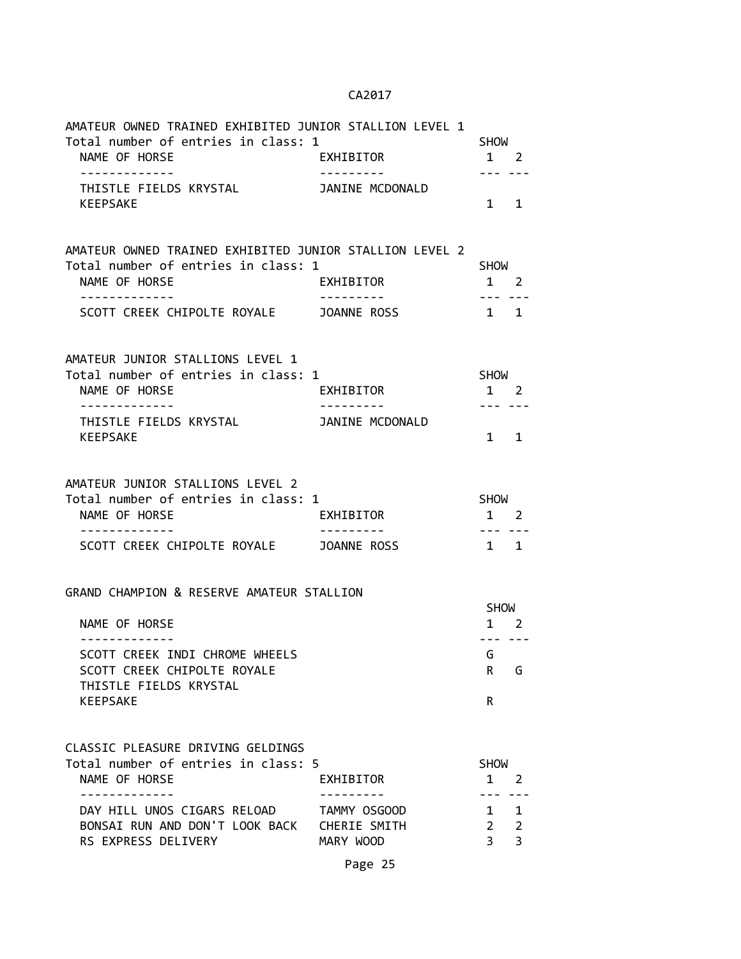| AMATEUR OWNED TRAINED EXHIBITED JUNIOR STALLION LEVEL 1                                                         |                                           |                               |                                     |
|-----------------------------------------------------------------------------------------------------------------|-------------------------------------------|-------------------------------|-------------------------------------|
| Total number of entries in class: 1<br>NAME OF HORSE                                                            | EXHIBITOR                                 | SHOW<br>1 2                   |                                     |
| -------------<br>THISTLE FIELDS KRYSTAL<br><b>KEEPSAKE</b>                                                      | ----------<br>JANINE MCDONALD             | $\mathbf{1}$                  | 1                                   |
| AMATEUR OWNED TRAINED EXHIBITED JUNIOR STALLION LEVEL 2<br>Total number of entries in class: 1<br>NAME OF HORSE | EXHIBITOR                                 | SHOW<br>1 2                   |                                     |
| . <u>.</u><br>SCOTT CREEK CHIPOLTE ROYALE JOANNE ROSS                                                           |                                           | $1 \quad 1$                   |                                     |
| AMATEUR JUNIOR STALLIONS LEVEL 1<br>Total number of entries in class: 1<br>NAME OF HORSE                        | EXHIBITOR                                 | SHOW<br>1 2                   |                                     |
| - - - - - - - - - - - - -<br>THISTLE FIELDS KRYSTAL <b>JANINE MCDONALD</b><br><b>KEEPSAKE</b>                   |                                           | --- ---<br>$\mathbf{1}$       | 1                                   |
| AMATEUR JUNIOR STALLIONS LEVEL 2<br>Total number of entries in class: 1<br>NAME OF HORSE                        | EXHIBITOR                                 | SHOW<br>1 2                   |                                     |
| SCOTT CREEK CHIPOLTE ROYALE JOANNE ROSS                                                                         |                                           | $1 \quad 1$                   |                                     |
| GRAND CHAMPION & RESERVE AMATEUR STALLION<br>NAME OF HORSE                                                      |                                           | <b>SHOW</b>                   | $1 \quad 2$                         |
| SCOTT CREEK INDI CHROME WHEELS<br>SCOTT CREEK CHIPOLTE ROYALE<br>THISTLE FIELDS KRYSTAL                         |                                           | G<br>R.                       | G                                   |
| <b>KEEPSAKE</b><br>CLASSIC PLEASURE DRIVING GELDINGS<br>Total number of entries in class: 5<br>NAME OF HORSE    | EXHIBITOR                                 | R<br><b>SHOW</b><br>1         | 2                                   |
| -----------<br>DAY HILL UNOS CIGARS RELOAD<br>BONSAI RUN AND DON'T LOOK BACK<br>RS EXPRESS DELIVERY             | TAMMY OSGOOD<br>CHERIE SMITH<br>MARY WOOD | $1 \quad$<br>$2^{\circ}$<br>3 | . <b>.</b><br>$\mathbf 1$<br>2<br>3 |
|                                                                                                                 | Page 25                                   |                               |                                     |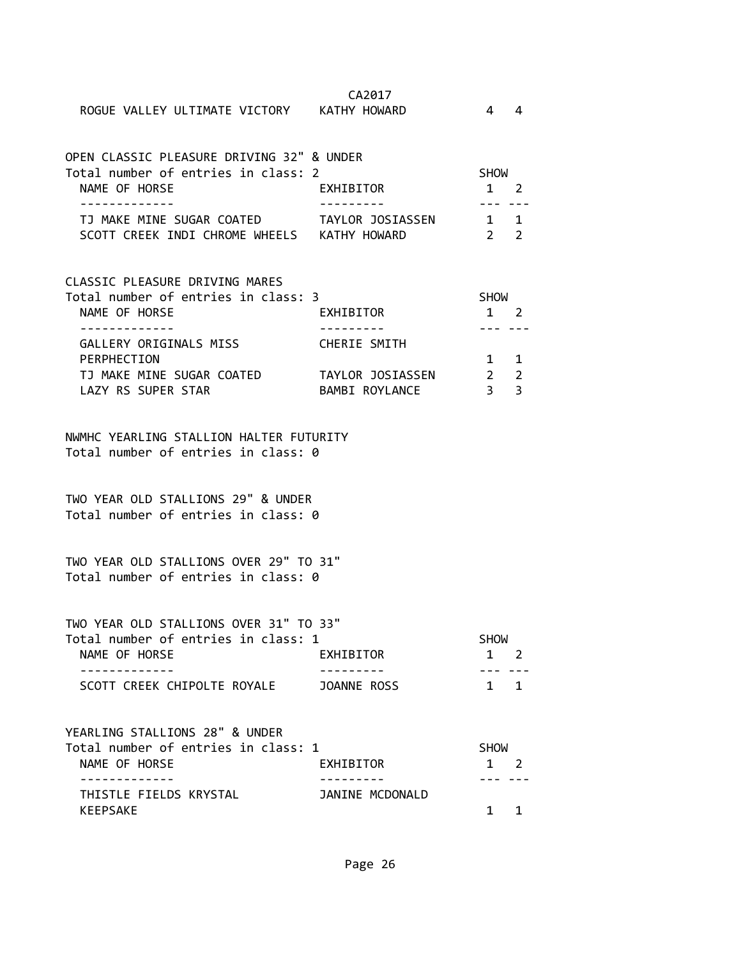| ROGUE VALLEY ULTIMATE VICTORY KATHY HOWARD                                                                                  | CA2017                         | $\overline{4}$                            | $\overline{4}$ |
|-----------------------------------------------------------------------------------------------------------------------------|--------------------------------|-------------------------------------------|----------------|
| OPEN CLASSIC PLEASURE DRIVING 32" & UNDER<br>Total number of entries in class: 2<br>NAME OF HORSE                           | EXHIBITOR                      | SHOW<br>1 2                               |                |
| -------------<br>TJ MAKE MINE SUGAR COATED TAYLOR JOSIASSEN<br>SCOTT CREEK INDI CHROME WHEELS KATHY HOWARD                  |                                | ----<br>$1 \quad 1$<br>$2 \quad 2$        |                |
| CLASSIC PLEASURE DRIVING MARES<br>Total number of entries in class: 3<br>NAME OF HORSE                                      | EXHIBITOR                      | SHOW<br>1 2                               |                |
| . <u>.</u> .<br>GALLERY ORIGINALS MISS<br>PERPHECTION<br>TJ MAKE MINE SUGAR COATED TAYLOR JOSIASSEN 2<br>LAZY RS SUPER STAR | CHERIE SMITH<br>BAMBI ROYLANCE | $1 \quad 1$<br>$\overline{\phantom{a}}$ 3 | 2<br>3         |
| NWMHC YEARLING STALLION HALTER FUTURITY<br>Total number of entries in class: 0                                              |                                |                                           |                |
| TWO YEAR OLD STALLIONS 29" & UNDER<br>Total number of entries in class: 0                                                   |                                |                                           |                |
| TWO YEAR OLD STALLIONS OVER 29" TO 31"<br>Total number of entries in class: 0                                               |                                |                                           |                |
| TWO YEAR OLD STALLIONS OVER 31" TO 33"<br>Total number of entries in class: 1<br>NAME OF HORSE                              | EXHIBITOR                      | SHOW<br>$1 \quad 2$                       |                |
| SCOTT CREEK CHIPOLTE ROYALE                                                                                                 | JOANNE ROSS                    | $1 \quad 1$                               |                |
| YEARLING STALLIONS 28" & UNDER<br>Total number of entries in class: 1<br>NAME OF HORSE                                      | EXHIBITOR                      | <b>SHOW</b><br>$1 \quad 2$                |                |
| . <u>_ _ _ _ _ _ _ _ _ _ _</u><br>THISTLE FIELDS KRYSTAL<br><b>KEEPSAKE</b>                                                 | JANINE MCDONALD                | 1                                         | 1              |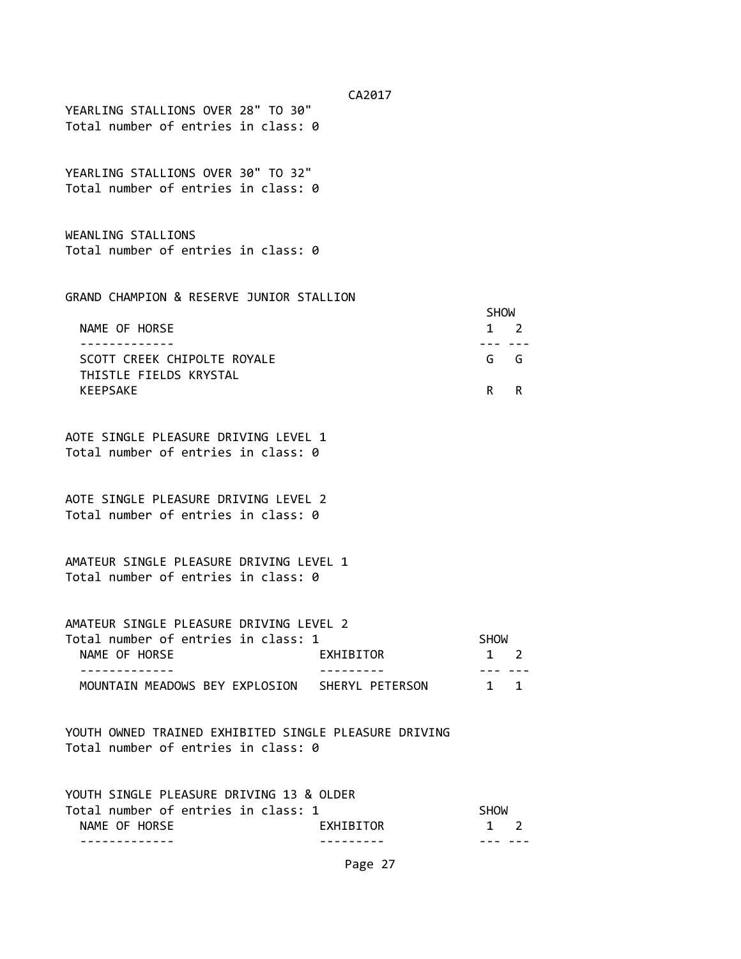YEARLING STALLIONS OVER 28" TO 30" Total number of entries in class: 0

YEARLING STALLIONS OVER 30" TO 32" Total number of entries in class: 0

WEANLING STALLIONS Total number of entries in class: 0

GRAND CHAMPION & RESERVE JUNIOR STALLION

|                             | <b>SHOW</b> |  |
|-----------------------------|-------------|--|
| NAME OF HORSE               | $1 \quad 2$ |  |
|                             |             |  |
| SCOTT CREEK CHIPOLTE ROYALE | G G         |  |
| THISTLE FIELDS KRYSTAL      |             |  |
| KEEPSAKE                    | R R         |  |

AOTE SINGLE PLEASURE DRIVING LEVEL 1 Total number of entries in class: 0

AOTE SINGLE PLEASURE DRIVING LEVEL 2 Total number of entries in class: 0

AMATEUR SINGLE PLEASURE DRIVING LEVEL 1 Total number of entries in class: 0

AMATEUR SINGLE PLEASURE DRIVING LEVEL 2 Total number of entries in class: 1 SHOW NAME OF HORSE **EXHIBITOR** 1 2 ------------- --------- --- --- MOUNTAIN MEADOWS BEY EXPLOSION SHERYL PETERSON 1 1

YOUTH OWNED TRAINED EXHIBITED SINGLE PLEASURE DRIVING Total number of entries in class: 0

| YOUTH SINGLE PLEASURE DRIVING 13 & OLDER |                  |             |  |
|------------------------------------------|------------------|-------------|--|
| Total number of entries in class: 1      |                  | SHOW        |  |
| NAME OF HORSE                            | <b>FXHTRTTOR</b> | $1 \quad 2$ |  |
|                                          |                  |             |  |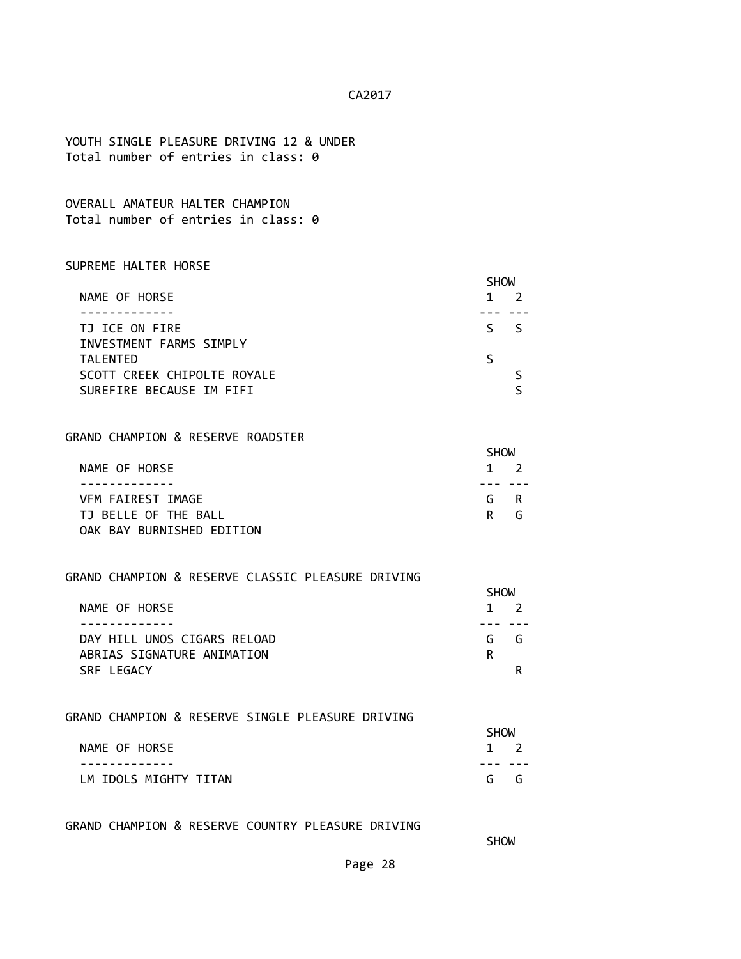YOUTH SINGLE PLEASURE DRIVING 12 & UNDER Total number of entries in class: 0

OVERALL AMATEUR HALTER CHAMPION Total number of entries in class: 0

#### SUPREME HALTER HORSE

|                             | <b>SHOW</b>  |
|-----------------------------|--------------|
| NAME OF HORSE               |              |
|                             |              |
| TJ ICE ON FIRE              | ς.<br>$\sim$ |
| INVESTMENT FARMS SIMPLY     |              |
| <b>TALENTED</b>             |              |
| SCOTT CREEK CHIPOLTE ROYALE |              |
| SUREFIRE BECAUSE IM FIFI    |              |

### GRAND CHAMPION & RESERVE ROADSTER

|                           | <b>SHOW</b> |             |
|---------------------------|-------------|-------------|
| NAME OF HORSE             |             | $1 \quad 2$ |
|                           |             |             |
| VFM FAIREST IMAGE         |             | G R         |
| TJ BELLE OF THE BALL      |             | R G         |
| OAK BAY BURNISHED EDITION |             |             |

#### GRAND CHAMPION & RESERVE CLASSIC PLEASURE DRIVING

|                             | <b>SHOW</b> |  |
|-----------------------------|-------------|--|
| NAME OF HORSE               | $1 \quad 2$ |  |
|                             |             |  |
| DAY HILL UNOS CIGARS RELOAD | G<br>- G    |  |
| ABRIAS SIGNATURE ANIMATION  | R           |  |
| SRE LEGACY                  |             |  |

#### GRAND CHAMPION & RESERVE SINGLE PLEASURE DRIVING

|                       | <b>SHOW</b> |             |  |
|-----------------------|-------------|-------------|--|
| NAME OF HORSE         |             | $1 \quad 2$ |  |
|                       |             |             |  |
| LM IDOLS MIGHTY TITAN |             | G G         |  |

## GRAND CHAMPION & RESERVE COUNTRY PLEASURE DRIVING

**SHOW SHOW**